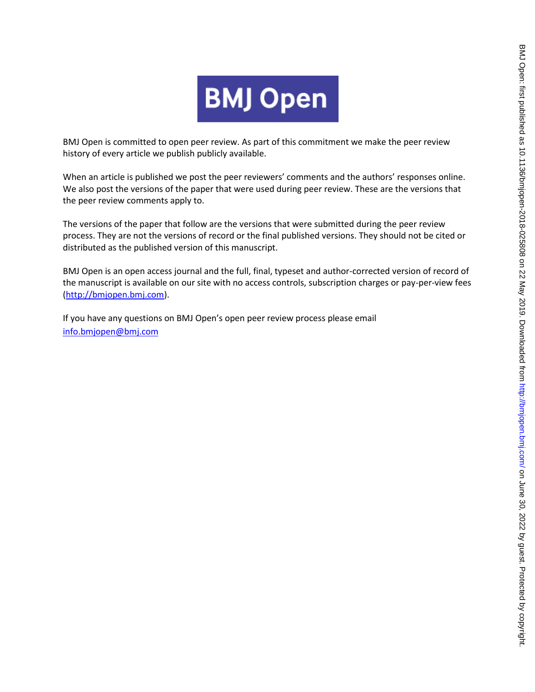

BMJ Open is committed to open peer review. As part of this commitment we make the peer review history of every article we publish publicly available.

When an article is published we post the peer reviewers' comments and the authors' responses online. We also post the versions of the paper that were used during peer review. These are the versions that the peer review comments apply to.

The versions of the paper that follow are the versions that were submitted during the peer review process. They are not the versions of record or the final published versions. They should not be cited or distributed as the published version of this manuscript.

BMJ Open is an open access journal and the full, final, typeset and author-corrected version of record of the manuscript is available on our site with no access controls, subscription charges or pay-per-view fees [\(http://bmjopen.bmj.com\)](http://bmjopen.bmj.com/).

If you have any questions on BMJ Open's open peer review process please email <info.bmjopen@bmj.com>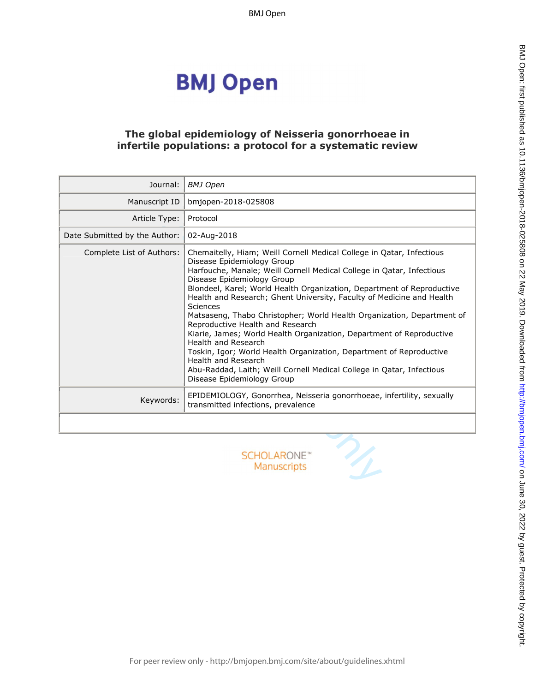## **BMJ Open**

#### **The global epidemiology of Neisseria gonorrhoeae in infertile populations: a protocol for a systematic review**

| Journal:                      | <b>BMJ</b> Open                                                                                                                                                                                                                                                                                                                                                                                                                                                                                                                                                                                                                                                                                                                                                                             |
|-------------------------------|---------------------------------------------------------------------------------------------------------------------------------------------------------------------------------------------------------------------------------------------------------------------------------------------------------------------------------------------------------------------------------------------------------------------------------------------------------------------------------------------------------------------------------------------------------------------------------------------------------------------------------------------------------------------------------------------------------------------------------------------------------------------------------------------|
| Manuscript ID                 | bmjopen-2018-025808                                                                                                                                                                                                                                                                                                                                                                                                                                                                                                                                                                                                                                                                                                                                                                         |
| Article Type:                 | Protocol                                                                                                                                                                                                                                                                                                                                                                                                                                                                                                                                                                                                                                                                                                                                                                                    |
| Date Submitted by the Author: | 02-Aug-2018                                                                                                                                                                                                                                                                                                                                                                                                                                                                                                                                                                                                                                                                                                                                                                                 |
| Complete List of Authors:     | Chemaitelly, Hiam; Weill Cornell Medical College in Oatar, Infectious<br>Disease Epidemiology Group<br>Harfouche, Manale; Weill Cornell Medical College in Qatar, Infectious<br>Disease Epidemiology Group<br>Blondeel, Karel; World Health Organization, Department of Reproductive<br>Health and Research; Ghent University, Faculty of Medicine and Health<br>Sciences<br>Matsaseng, Thabo Christopher; World Health Organization, Department of<br>Reproductive Health and Research<br>Kiarie, James; World Health Organization, Department of Reproductive<br>Health and Research<br>Toskin, Igor; World Health Organization, Department of Reproductive<br>Health and Research<br>Abu-Raddad, Laith; Weill Cornell Medical College in Qatar, Infectious<br>Disease Epidemiology Group |
| Keywords:                     | EPIDEMIOLOGY, Gonorrhea, Neisseria gonorrhoeae, infertility, sexually<br>transmitted infections, prevalence                                                                                                                                                                                                                                                                                                                                                                                                                                                                                                                                                                                                                                                                                 |
|                               |                                                                                                                                                                                                                                                                                                                                                                                                                                                                                                                                                                                                                                                                                                                                                                                             |
|                               | <b>SCHOLARONE™</b><br><b>Manuscripts</b>                                                                                                                                                                                                                                                                                                                                                                                                                                                                                                                                                                                                                                                                                                                                                    |

BMJ Open: first published as 10.1136/bmjopen-2018-025808 on 22 May 2019. Downloaded from http://bmjopen.bmj.com/ on June 30, 2022 by guest. Protected by copyright. BMJ Open: first particled as 10.1136/biright. Protected by 2019. Downloaded from Dewall and Amaged from the changed from the 10.020 S25808 on 22 May 10.1136/biright. Protected by concept in the changed from the changed fro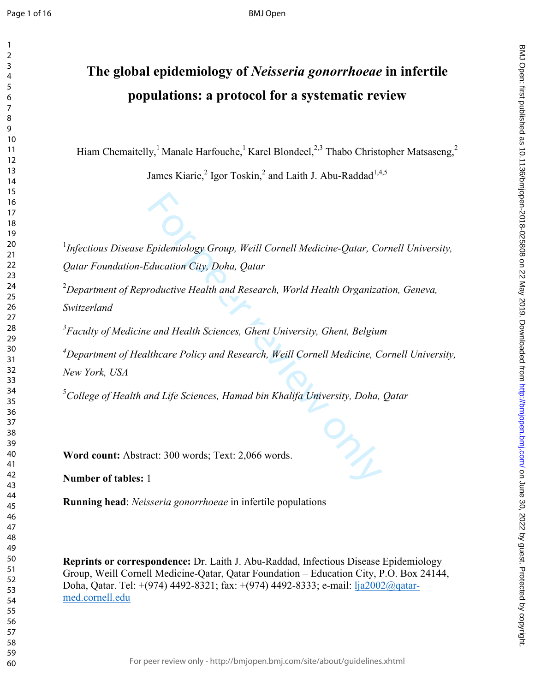## **The global epidemiology of** *Neisseria gonorrhoeae* **in infertile populations: a protocol for a systematic review**

Hiam Chemaitelly, <sup>1</sup> Manale Harfouche, <sup>1</sup> Karel Blondeel,<sup>2,3</sup> Thabo Christopher Matsaseng,<sup>2</sup>

James Kiarie,<sup>2</sup> Igor Toskin,<sup>2</sup> and Laith J. Abu-Raddad<sup>1,4,5</sup>

<sup>1</sup>Infectious Disease Epidemiology Group, Weill Cornell Medicine-Qatar, Cornell University, *Qatar Foundation-Education City, Doha, Qatar* 2*Department of Reproductive Health and Research, World Health Organization, Geneva,* 

*Switzerland* 

*Faculty of Medicine and Health Sciences, Ghent University, Ghent, Belgium* 

Epidemiology Group, Weill Cornell Medicine-Qatar, Condition City, Doha, Qatar<br>Froductive Health and Research, World Health Organiza.<br>Froductive Health and Research, World Health Organiza.<br>Incare Policy and Research, Weill *Department of Healthcare Policy and Research, Weill Cornell Medicine, Cornell University, New York, USA* 

*College of Health and Life Sciences, Hamad bin Khalifa University, Doha, Qatar* 

**Word count:** Abstract: 300 words; Text: 2,066 words.

**Number of tables:**  1

**Running head**: *Neisseria gonorrhoeae* in infertile populations

**Reprints or correspondence:** Dr. Laith J. Abu-Raddad, Infectious Disease Epidemiology Group, Weill Cornell Medicine-Qatar, Qatar Foundation – Education City, P.O. Box 24144, Doha, Qatar. Tel: +(974) 4492-8321; fax: +(974) 4492-8333; e-mail: lja2002@qatarmed.cornell.edu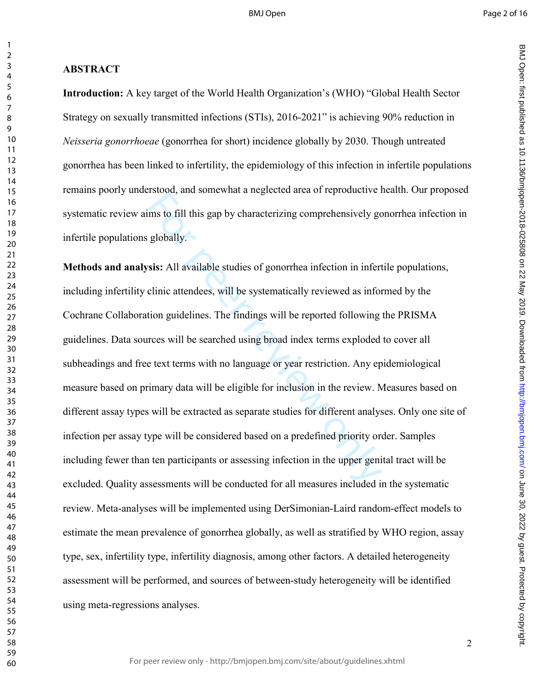$\mathbf{1}$ 

 $\overline{2}$ 

**ABSTRACT Introduction:** A key target of the World Health Organization's (WHO) "Global Health Sector Strategy on sexually transmitted infections (STIs), 2016-2021" is achieving 90% reduction in *Neisseria gonorrhoeae* (gonorrhea for short) incidence globally by 2030. Though untreated gonorrhea has been linked to infertility, the epidemiology of this infection in infertile populations remains poorly understood, and somewhat a neglected area of reproductive health. Our proposed systematic review aims to fill this gap by characterizing comprehensively gonorrhea infection in infertile populations globally.

For the fill this gap by characterizing comprehensively got globally.<br>
For the fill this gap by characterizing comprehensively got globally.<br>
For the systematically reviewed as inforted<br>
tion guidelines. The findings will **Methods and analysis:** All available studies of gonorrhea infection in infertile populations, including infertility clinic attendees, will be systematically reviewed as informed by the Cochrane Collaboration guidelines. The findings will be reported following the PRISMA guidelines. Data sources will be searched using broad index terms exploded to cover all subheadings and free text terms with no language or year restriction. Any epidemiological measure based on primary data will be eligible for inclusion in the review. Measures based on different assay types will be extracted as separate studies for different analyses. Only one site of infection per assay type will be considered based on a predefined priority order. Samples including fewer than ten participants or assessing infection in the upper genital tract will be excluded. Quality assessments will be conducted for all measures included in the systematic review. Meta-analyses will be implemented using DerSimonian-Laird random-effect models to estimate the mean prevalence of gonorrhea globally, as well as stratified by WHO region, assay type, sex, infertility type, infertility diagnosis, among other factors. A detailed heterogeneity assessment will be performed, and sources of between-study heterogeneity will be identified using meta-regressions analyses.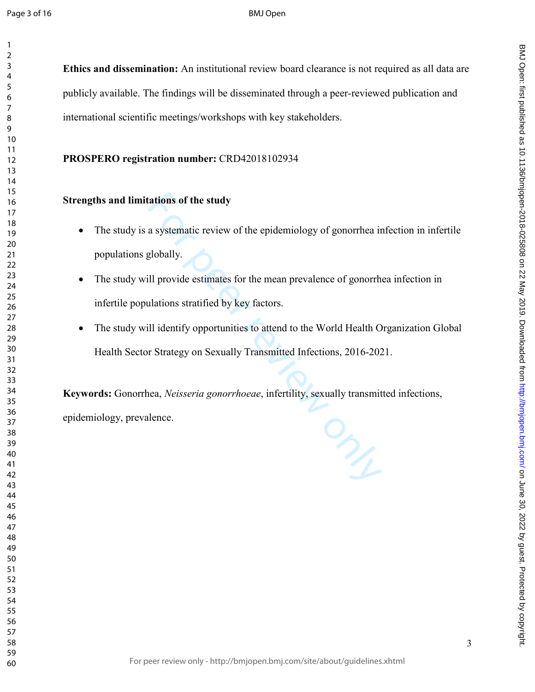$\mathbf{1}$ 

#### BMJ Open

**Ethics and dissemination:**  An institutional review board clearance is not required as all data are publicly available. The findings will be disseminated through a peer-reviewed publication and international scientific meetings/workshops with key stakeholders. **PROSPERO registration number:** CRD42018102934

#### **Strengths and limitations of the study**

- tations of the study<br>a systematic review of the epidemiology of gonorrhea ir<br>globally.<br>ill provide estimates for the mean prevalence of gonorrh<br>ulations stratified by key factors.<br>ill identify opportunities to attend to th • The study is a systematic review of the epidemiology of gonorrhea infection in infertile populations globally.
- The study will provide estimates for the mean prevalence of gonorrhea infection in infertile populations stratified by key factors.
- The study will identify opportunities to attend to the World Health Organization Global Health Sector Strategy on Sexually Transmitted Infections, 2016-2021.

**Keywords:** Gonorrhea, *Neisseria gonorrhoeae*, infertility, sexually transmitted infections, epidemiology, prevalence.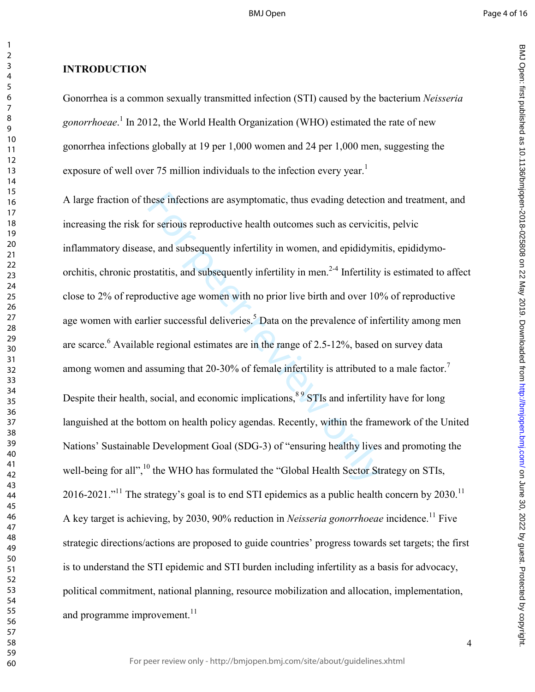BMJ Open: first particled as 10.1136/biright. Protected by 2019. Downloaded from Dewall and Amaged from the changed from the 10.020 S25808 on 22 May 10.1136/biright. Protected by concept in the changed from the changed fro

BMJ Open: first published as 10.1136/bmjopen-2018-025808 on 22 May 2019. Downloaded from http://bmjopen.bmj.com/ on June 30, 2022 by guest. Protected by copyright

#### **INTRODUCTION**

Gonorrhea is a common sexually transmitted infection (STI) caused by the bacterium *Neisseria*  gonorrhoeae.<sup>1</sup> In 2012, the World Health Organization (WHO) estimated the rate of new gonorrhea infections globally at 19 per 1,000 women and 24 per 1,000 men, suggesting the exposure of well over 75 million individuals to the infection every year.<sup>1</sup>

hese infections are asymptomatic, thus evading detection<br>or serious reproductive health outcomes such as cervictitie, and subsequently infertility in women, and epididymi<br>statitis, and subsequently infertility in men.<sup>2-4</sup> A large fraction of these infections are asymptomatic, thus evading detection and treatment, and increasing the risk for serious reproductive health outcomes such as cervicitis, pelvic inflammatory disease, and subsequently infertility in women, and epididymitis, epididymoorchitis, chronic prostatitis, and subsequently infertility in men.<sup>2-4</sup> Infertility is estimated to affect close to 2% of reproductive age women with no prior live birth and over 10% of reproductive age women with earlier successful deliveries.<sup>5</sup> Data on the prevalence of infertility among men are scarce.<sup>6</sup> Available regional estimates are in the range of 2.5-12%, based on survey data among women and assuming that 20-30% of female infertility is attributed to a male factor.<sup>7</sup> Despite their health, social, and economic implications, <sup>89</sup> STIs and infertility have for long languished at the bottom on health policy agendas. Recently, within the framework of the United Nations' Sustainable Development Goal (SDG-3) of "ensuring healthy lives and promoting the well-being for all",<sup>10</sup> the WHO has formulated the "Global Health Sector Strategy on STIs, 2016-2021."<sup>11</sup> The strategy's goal is to end STI epidemics as a public health concern by 2030.<sup>11</sup> A key target is achieving, by 2030, 90% reduction in *Neisseria gonorrhoeae* incidence.<sup>11</sup> Five strategic directions/actions are proposed to guide countries' progress towards set targets; the first is to understand the STI epidemic and STI burden including infertility as a basis for advocacy, political commitment, national planning, resource mobilization and allocation, implementation, and programme improvement. $^{11}$ 

 $\mathbf{1}$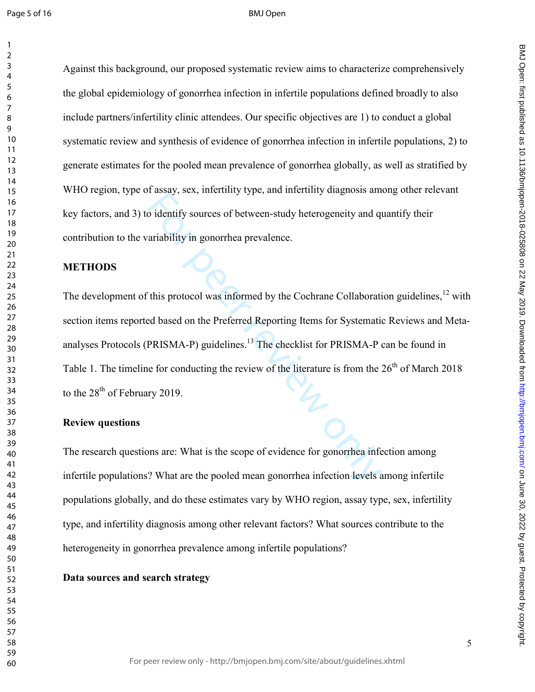$\mathbf{1}$ 

#### BMJ Open

Against this background, our proposed systematic review aims to characterize comprehensively the global epidemiology of gonorrhea infection in infertile populations defined broadly to also include partners/infertility clinic attendees. Our specific objectives are 1) to conduct a global systematic review and synthesis of evidence of gonorrhea infection in infertile populations, 2) to generate estimates for the pooled mean prevalence of gonorrhea globally, as well as stratified by WHO region, type of assay, sex, infertility type, and infertility diagnosis among other relevant key factors, and 3) to identify sources of between-study heterogeneity and quantify their contribution to the variability in gonorrhea prevalence.

#### **METHODS**

Fassay, ext, internsty sypty, and internsty suggress and<br>o identify sources of between-study heterogeneity and quariability in gonorrhea prevalence.<br>This protocol was informed by the Cochrane Collaboration<br>of this protocol The development of this protocol was informed by the Cochrane Collaboration guidelines,  $^{12}$  with section items reported based on the Preferred Reporting Items for Systematic Reviews and Metaanalyses Protocols (PRISMA-P) guidelines.<sup>13</sup> The checklist for PRISMA-P can be found in Table 1. The timeline for conducting the review of the literature is from the  $26<sup>th</sup>$  of March 2018 to the  $28<sup>th</sup>$  of February 2019.

#### **Review questions**

The research questions are: What is the scope of evidence for gonorrhea infection among infertile populations? What are the pooled mean gonorrhea infection levels among infertile populations globally, and do these estimates vary by WHO region, assay type, sex, infertility type, and infertility diagnosis among other relevant factors? What sources contribute to the heterogeneity in gonorrhea prevalence among infertile populations?

#### **Data sources and search strategy**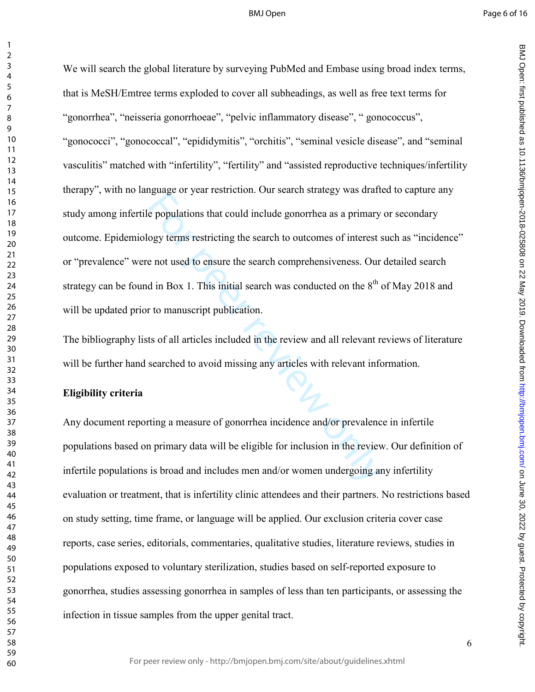BMJ Open: first particled as 10.1136/biright. Protected by 2019. Downloaded from Dewall and Amaged from the changed from the 10.020 S25808 on 22 May 10.1136/biright. Protected by concept in the changed from the changed fro

BMJ Open: first published as 10.1136/bmjopen-2018-025808 on 22 May 2019. Downloaded from http://bmjopen.bmj.com/ on June 30, 2022 by guest. Protected by copyright

 $\mathbf{1}$ 

regative of year restriction. Our search states of year restriction of a property of year restricting the search to outcomes of interest se not used to ensure the search comprehensiveness. Our d in Box 1. This initial sear We will search the global literature by surveying PubMed and Embase using broad index terms, that is MeSH/Emtree terms exploded to cover all subheadings, as well as free text terms for "gonorrhea", "neisseria gonorrhoeae", "pelvic inflammatory disease", " gonococcus", "gonococci", "gonococcal", "epididymitis", "orchitis", "seminal vesicle disease", and "seminal vasculitis" matched with "infertility", "fertility" and "assisted reproductive techniques/infertility therapy", with no language or year restriction. Our search strategy was drafted to capture any study among infertile populations that could include gonorrhea as a primary or secondary outcome. Epidemiology terms restricting the search to outcomes of interest such as "incidence" or "prevalence" were not used to ensure the search comprehensiveness. Our detailed search strategy can be found in Box 1. This initial search was conducted on the  $8<sup>th</sup>$  of May 2018 and will be updated prior to manuscript publication.

The bibliography lists of all articles included in the review and all relevant reviews of literature will be further hand searched to avoid missing any articles with relevant information.

#### **Eligibility criteria**

Any document reporting a measure of gonorrhea incidence and/or prevalence in infertile populations based on primary data will be eligible for inclusion in the review. Our definition of infertile populations is broad and includes men and/or women undergoing any infertility evaluation or treatment, that is infertility clinic attendees and their partners. No restrictions based on study setting, time frame, or language will be applied. Our exclusion criteria cover case reports, case series, editorials, commentaries, qualitative studies, literature reviews, studies in populations exposed to voluntary sterilization, studies based on self-reported exposure to gonorrhea, studies assessing gonorrhea in samples of less than ten participants, or assessing the infection in tissue samples from the upper genital tract.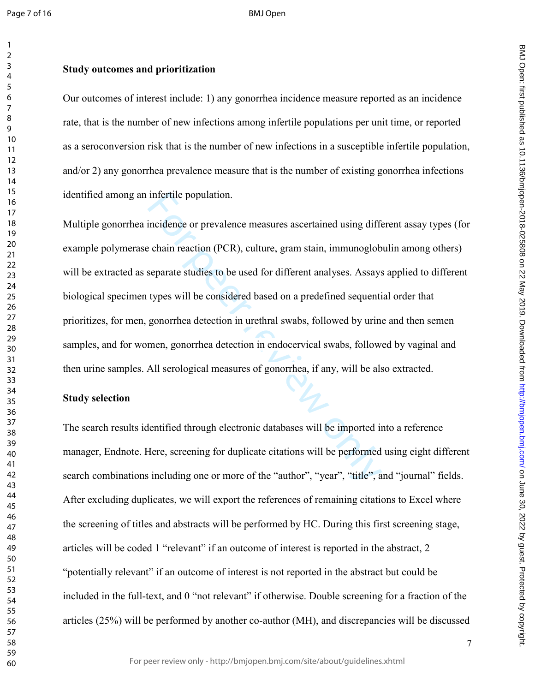#### **Study outcomes and prioritization**

Our outcomes of interest include: 1) any gonorrhea incidence measure reported as an incidence rate, that is the number of new infections among infertile populations per unit time, or reported as a seroconversion risk that is the number of new infections in a susceptible infertile population, and/or 2) any gonorrhea prevalence measure that is the number of existing gonorrhea infections identified among an infertile population.

infertile population.<br>
incidence or prevalence measures ascertained using different endined exercise exercise exercise exercise exercise<br>
exercise exercise separate studies to be used for different analyses. As<br>
stypes wil Multiple gonorrhea incidence or prevalence measures ascertained using different assay types (for example polymerase chain reaction (PCR), culture, gram stain, immunoglobulin among others) will be extracted as separate studies to be used for different analyses. Assays applied to different biological specimen types will be considered based on a predefined sequential order that prioritizes, for men, gonorrhea detection in urethral swabs, followed by urine and then semen samples, and for women, gonorrhea detection in endocervical swabs, followed by vaginal and then urine samples. All serological measures of gonorrhea, if any, will be also extracted.

#### **Study selection**

The search results identified through electronic databases will be imported into a reference manager, Endnote. Here, screening for duplicate citations will be performed using eight different search combinations including one or more of the "author", "year", "title", and "journal" fields. After excluding duplicates, we will export the references of remaining citations to Excel where the screening of titles and abstracts will be performed by HC. During this first screening stage, articles will be coded 1 "relevant" if an outcome of interest is reported in the abstract, 2 "potentially relevant" if an outcome of interest is not reported in the abstract but could be included in the full-text, and 0 "not relevant" if otherwise. Double screening for a fraction of the articles (25%) will be performed by another co-author (MH), and discrepancies will be discussed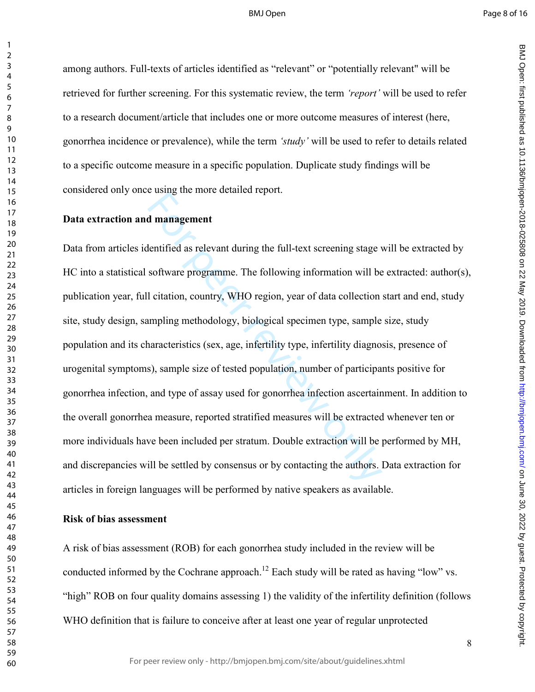BMJ Open: first particled as 10.1136/biright. Protected by 2019. Downloaded from Dewall and Amaged from the changed from the 10.020 S25808 on 22 May 10.1136/biright. Protected by concept in the changed from the changed fro

BMJ Open: first published as 10.1136/bmjopen-2018-025808 on 22 May 2019. Downloaded from http://bmjopen.bmj.com/ on June 30, 2022 by guest. Protected by copyright

 $\mathbf{1}$ 

among authors. Full-texts of articles identified as "relevant" or "potentially relevant" will be retrieved for further screening. For this systematic review, the term *'report'* will be used to refer to a research document/article that includes one or more outcome measures of interest (here, gonorrhea incidence or prevalence), while the term *'study'* will be used to refer to details related to a specific outcome measure in a specific population. Duplicate study findings will be considered only once using the more detailed report.

#### **Data extraction and management**

d management<br>
lentified as relevant during the full-text screening stage v<br>
software programme. The following information will be<br>
l citation, country, WHO region, year of data collection<br>
umpling methodology, biological s Data from articles identified as relevant during the full-text screening stage will be extracted by HC into a statistical software programme. The following information will be extracted: author(s), publication year, full citation, country, WHO region, year of data collection start and end, study site, study design, sampling methodology, biological specimen type, sample size, study population and its characteristics (sex, age, infertility type, infertility diagnosis, presence of urogenital symptoms), sample size of tested population, number of participants positive for gonorrhea infection, and type of assay used for gonorrhea infection ascertainment. In addition to the overall gonorrhea measure, reported stratified measures will be extracted whenever ten or more individuals have been included per stratum. Double extraction will be performed by MH, and discrepancies will be settled by consensus or by contacting the authors. Data extraction for articles in foreign languages will be performed by native speakers as available.

#### **Risk of bias assessment**

A risk of bias assessment (ROB) for each gonorrhea study included in the review will be conducted informed by the Cochrane approach.<sup>12</sup> Each study will be rated as having "low" vs. "high" ROB on four quality domains assessing 1) the validity of the infertility definition (follows WHO definition that is failure to conceive after at least one year of regular unprotected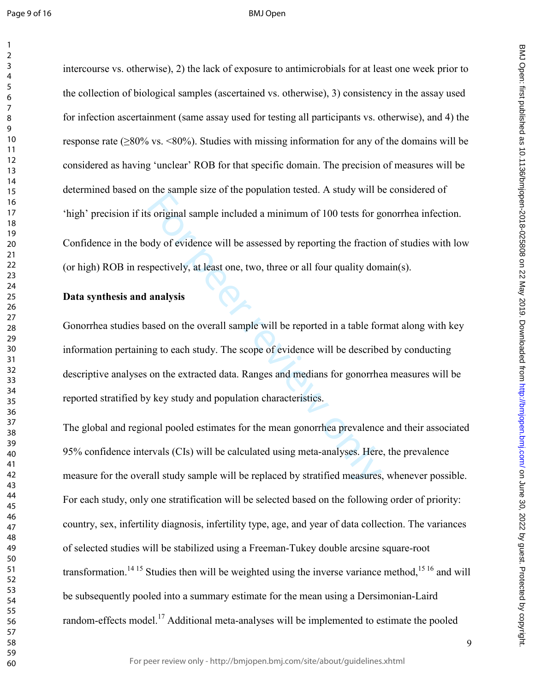$\mathbf{1}$ 

#### BMJ Open

intercourse vs. otherwise), 2) the lack of exposure to antimicrobials for at least one week prior to the collection of biological samples (ascertained vs. otherwise), 3) consistency in the assay used for infection ascertainment (same assay used for testing all participants vs. otherwise), and 4) the response rate ( $\geq 80\%$  vs.  $\leq 80\%$ ). Studies with missing information for any of the domains will be considered as having 'unclear' ROB for that specific domain. The precision of measures will be determined based on the sample size of the population tested. A study will be considered of 'high' precision if its original sample included a minimum of 100 tests for gonorrhea infection. Confidence in the body of evidence will be assessed by reporting the fraction of studies with low (or high) ROB in respectively, at least one, two, three or all four quality domain(s).

#### **Data synthesis and analysis**

Solid sample sale of the population tested. Thistay winds<br>Soliginal sample included a minimum of 100 tests for goody of evidence will be assessed by reporting the fraction<br>Spectively, at least one, two, three or all four q Gonorrhea studies based on the overall sample will be reported in a table format along with key information pertaining to each study. The scope of evidence will be described by conducting descriptive analyses on the extracted data. Ranges and medians for gonorrhea measures will be reported stratified by key study and population characteristics.

The global and regional pooled estimates for the mean gonorrhea prevalence and their associated 95% confidence intervals (CIs) will be calculated using meta-analyses. Here, the prevalence measure for the overall study sample will be replaced by stratified measures, whenever possible. For each study, only one stratification will be selected based on the following order of priority: country, sex, infertility diagnosis, infertility type, age, and year of data collection. The variances of selected studies will be stabilized using a Freeman-Tukey double arcsine square-root transformation.<sup>14 15</sup> Studies then will be weighted using the inverse variance method,  $15\frac{16}{16}$  and will be subsequently pooled into a summary estimate for the mean using a Dersimonian-Laird random-effects model.<sup>17</sup> Additional meta-analyses will be implemented to estimate the pooled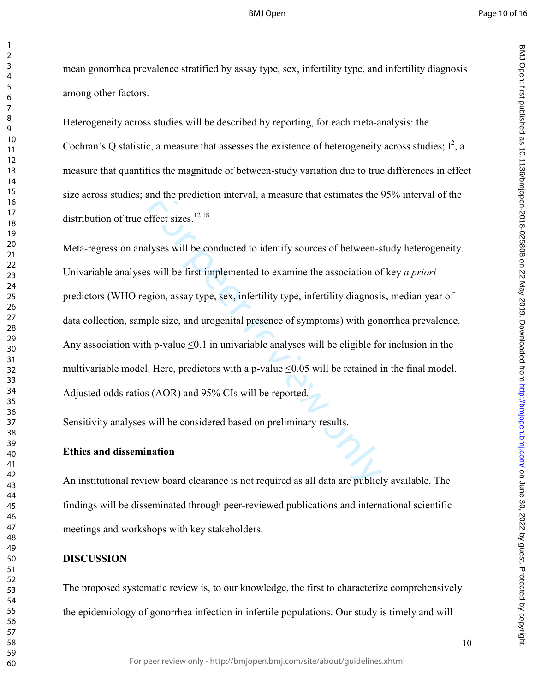mean gonorrhea prevalence stratified by assay type, sex, infertility type, and infertility diagnosis among other factors.

Heterogeneity across studies will be described by reporting, for each meta-analysis: the Cochran's Q statistic, a measure that assesses the existence of heterogeneity across studies;  $I^2$ , a measure that quantifies the magnitude of between-study variation due to true differences in effect size across studies; and the prediction interval, a measure that estimates the 95% interval of the distribution of true effect sizes.<sup>12 18</sup>

and the prediction interval, a measure that estimates the 9<br>
effect sizes.<sup>1218</sup><br>
llyses will be conducted to identify sources of between-s<br>
s will be first implemented to examine the association of<br>
gion, assay type, sex Meta-regression analyses will be conducted to identify sources of between-study heterogeneity. Univariable analyses will be first implemented to examine the association of key *a priori* predictors (WHO region, assay type, sex, infertility type, infertility diagnosis, median year of data collection, sample size, and urogenital presence of symptoms) with gonorrhea prevalence. Any association with p-value  $\leq 0.1$  in univariable analyses will be eligible for inclusion in the multivariable model. Here, predictors with a p-value  $\leq 0.05$  will be retained in the final model. Adjusted odds ratios (AOR) and 95% CIs will be reported.

Sensitivity analyses will be considered based on preliminary results.

#### **Ethics and dissemination**

An institutional review board clearance is not required as all data are publicly available. The findings will be disseminated through peer-reviewed publications and international scientific meetings and workshops with key stakeholders.

#### **DISCUSSION**

The proposed systematic review is, to our knowledge, the first to characterize comprehensively the epidemiology of gonorrhea infection in infertile populations. Our study is timely and will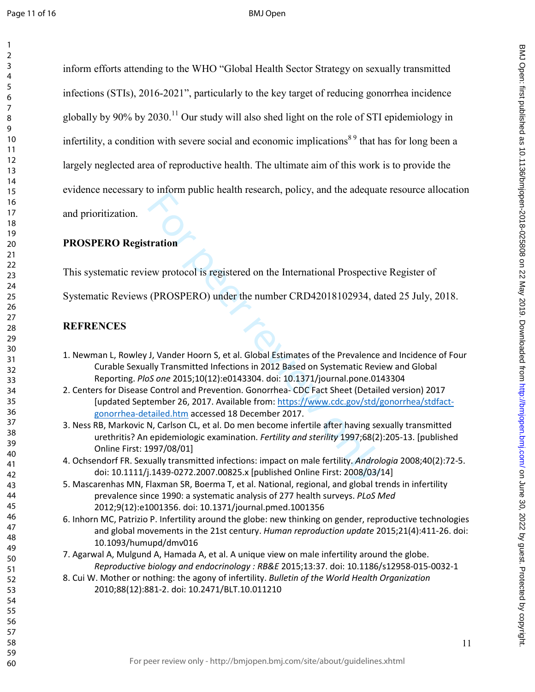#### BMJ Open

inform efforts attending to the WHO "Global Health Sector Strategy on sexually transmitted infections (STIs), 2016-2021", particularly to the key target of reducing gonorrhea incidence globally by 90% by 2030.<sup>11</sup> Our study will also shed light on the role of STI epidemiology in infertility, a condition with severe social and economic implications<sup>89</sup> that has for long been a largely neglected area of reproductive health. The ultimate aim of this work is to provide the evidence necessary to inform public health research, policy, and the adequate resource allocation

and prioritization.

#### **PROSPERO Registration**

This systematic review protocol is registered on the International Prospective Register of

Systematic Reviews (PROSPERO) under the number CRD42018102934, dated 25 July, 2018.

#### **REFRENCES**

- 1. Newman L, Rowley J, Vander Hoorn S, et al. Global Estimates of the Prevalence and Incidence of Four Curable Sexually Transmitted Infections in 2012 Based on Systematic Review and Global Reporting. *PloS one* 2015;10(12):e0143304. doi: 10.1371/journal.pone.0143304
- For peer real interests on the International Prospective<br>
(PROSPERO) under the number CRD42018102934, da<br>
(PROSPERO) under the number CRD42018102934, da<br>
J, Vander Hoorn S, et al. Global Estimates of the Prevalence<br>
Illy T 2. Centers for Disease Control and Prevention. Gonorrhea- CDC Fact Sheet (Detailed version) 2017 [updated September 26, 2017. Available from: https://www.cdc.gov/std/gonorrhea/stdfactgonorrhea-detailed.htm accessed 18 December 2017.
- 3. Ness RB, Markovic N, Carlson CL, et al. Do men become infertile after having sexually transmitted urethritis? An epidemiologic examination. *Fertility and sterility* 1997;68(2):205-13. [published Online First: 1997/08/01]
- 4. Ochsendorf FR. Sexually transmitted infections: impact on male fertility. *Andrologia* 2008;40(2):72-5. doi: 10.1111/j.1439-0272.2007.00825.x [published Online First: 2008/03/14]
- 5. Mascarenhas MN, Flaxman SR, Boerma T, et al. National, regional, and global trends in infertility prevalence since 1990: a systematic analysis of 277 health surveys. *PLoS Med* 2012;9(12):e1001356. doi: 10.1371/journal.pmed.1001356
- 6. Inhorn MC, Patrizio P. Infertility around the globe: new thinking on gender, reproductive technologies and global movements in the 21st century. *Human reproduction update* 2015;21(4):411-26. doi: 10.1093/humupd/dmv016
- 7. Agarwal A, Mulgund A, Hamada A, et al. A unique view on male infertility around the globe. *Reproductive biology and endocrinology : RB&E* 2015;13:37. doi: 10.1186/s12958-015-0032-1
- 8. Cui W. Mother or nothing: the agony of infertility. *Bulletin of the World Health Organization* 2010;88(12):881-2. doi: 10.2471/BLT.10.011210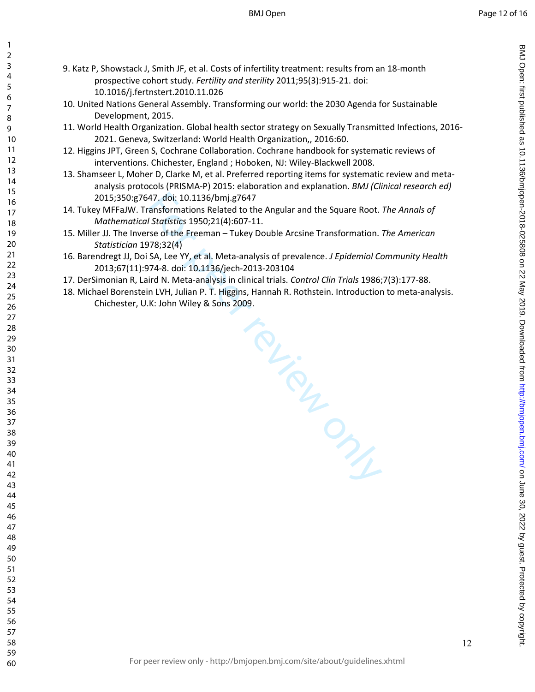$\mathbf{1}$ 

- 9. Katz P, Showstack J, Smith JF, et al. Costs of infertility treatment: results from an 18-month prospective cohort study. *Fertility and sterility* 2011;95(3):915-21. doi: 10.1016/j.fertnstert.2010.11.026
- 10. United Nations General Assembly. Transforming our world: the 2030 Agenda for Sustainable Development, 2015.
- 11. World Health Organization. Global health sector strategy on Sexually Transmitted Infections, 2016- 2021. Geneva, Switzerland: World Health Organization,, 2016:60.
- 12. Higgins JPT, Green S, Cochrane Collaboration. Cochrane handbook for systematic reviews of interventions. Chichester, England ; Hoboken, NJ: Wiley-Blackwell 2008.
- 13. Shamseer L, Moher D, Clarke M, et al. Preferred reporting items for systematic review and metaanalysis protocols (PRISMA-P) 2015: elaboration and explanation. *BMJ (Clinical research ed)* 2015;350:g7647. doi: 10.1136/bmj.g7647
- 14. Tukey MFFaJW. Transformations Related to the Angular and the Square Root. *The Annals of Mathematical Statistics* 1950;21(4):607-11.
- 15. Miller JJ. The Inverse of the Freeman Tukey Double Arcsine Transformation. *The American Statistician* 1978;32(4)
- 16. Barendregt JJ, Doi SA, Lee YY, et al. Meta-analysis of prevalence. *J Epidemiol Community Health* 2013;67(11):974-8. doi: 10.1136/jech-2013-203104
- 17. DerSimonian R, Laird N. Meta-analysis in clinical trials. *Control Clin Trials* 1986;7(3):177-88.
- 18. Michael Borenstein LVH, Julian P. T. Higgins, Hannah R. Rothstein. Introduction to meta-analysis. Chichester, U.K: John Wiley & Sons 2009.

For Prince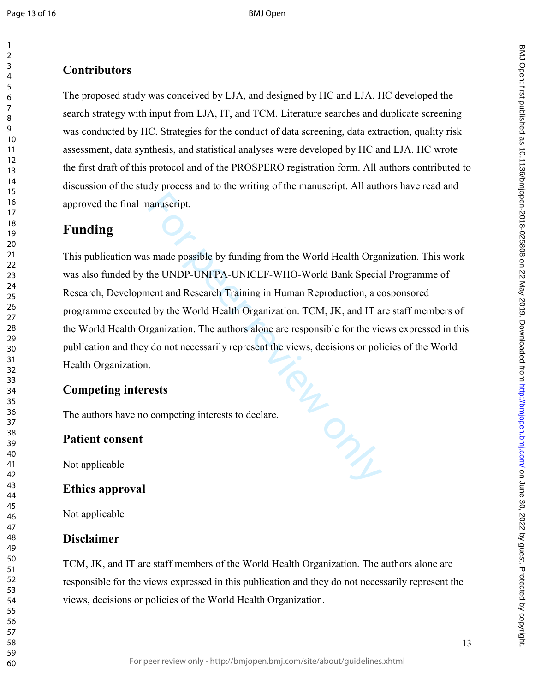$\mathbf{1}$ 

The proposed study was conceived by LJA, and designed by HC and LJA. HC developed the search strategy with input from LJA, IT, and TCM. Literature searches and duplicate screening was conducted by HC. Strategies for the conduct of data screening, data extraction, quality risk assessment, data synthesis, and statistical analyses were developed by HC and LJA. HC wrote the first draft of this protocol and of the PROSPERO registration form. All authors contributed to discussion of the study process and to the writing of the manuscript. All authors have read and approved the final manuscript.

## **Funding**

For Congress This publication was made possible by funding from t he World Health Organization. This work was also funded by the UNDP-UNFPA-UNICEF-WHO-World Bank Special Programme of Research, Development and Research Training in Human Reproduction, a cosponsored programme executed by the World Health Organization. TCM, JK, and IT are staff members of the World Health Organization. The authors alone are responsible for the views expressed in this publication and they do not necessarily represent the views, decisions or policies of the World Health Organization.

## **Competing interests**

The authors have no competing interests to declare.

## **Patient consent**

Not applicable

## **Ethics approval**

Not applicable

## **Disclaimer**

TCM, JK, and IT are staff members of the World Health Organization. The authors alone are responsible for the views expressed in this publication and they do not necessarily represent the views, decisions or policies of the World Health Organization.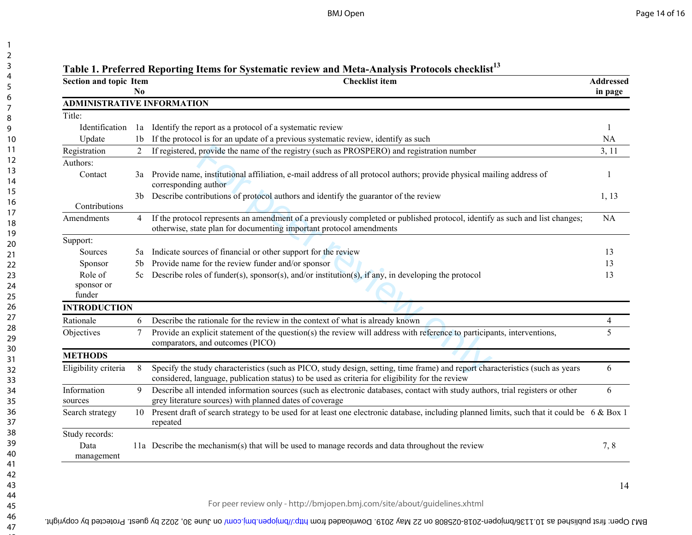| <b>Section and topic Item</b>     | No.            | Tabic 1. I Ferri für Keppi ung Tiems für Sysiemane Feview and Meta-Anafysis I Fotocols enceknist<br><b>Checklist</b> item                                                                                                        | Addressed<br>in page |
|-----------------------------------|----------------|----------------------------------------------------------------------------------------------------------------------------------------------------------------------------------------------------------------------------------|----------------------|
| <b>ADMINISTRATIVE INFORMATION</b> |                |                                                                                                                                                                                                                                  |                      |
| Title:                            |                |                                                                                                                                                                                                                                  |                      |
| Identification                    | 1a             | Identify the report as a protocol of a systematic review                                                                                                                                                                         |                      |
| Update                            | 1 <sub>b</sub> | If the protocol is for an update of a previous systematic review, identify as such                                                                                                                                               | <b>NA</b>            |
| Registration                      | $\overline{2}$ | If registered, provide the name of the registry (such as PROSPERO) and registration number                                                                                                                                       | 3, 11                |
| Authors:                          |                |                                                                                                                                                                                                                                  |                      |
| Contact                           |                | 3a Provide name, institutional affiliation, e-mail address of all protocol authors; provide physical mailing address of<br>corresponding author                                                                                  |                      |
| Contributions                     | 3b             | Describe contributions of protocol authors and identify the guarantor of the review                                                                                                                                              | 1, 13                |
| Amendments                        | $\overline{4}$ | If the protocol represents an amendment of a previously completed or published protocol, identify as such and list changes;<br>otherwise, state plan for documenting important protocol amendments                               | <b>NA</b>            |
| Support:                          |                |                                                                                                                                                                                                                                  |                      |
| Sources                           | 5a             | Indicate sources of financial or other support for the review                                                                                                                                                                    | 13                   |
| Sponsor                           | 5b             | Provide name for the review funder and/or sponsor                                                                                                                                                                                | 13                   |
| Role of                           |                | 5c Describe roles of funder(s), sponsor(s), and/or institution(s), if any, in developing the protocol                                                                                                                            | 13                   |
| sponsor or<br>funder              |                |                                                                                                                                                                                                                                  |                      |
| <b>INTRODUCTION</b>               |                |                                                                                                                                                                                                                                  |                      |
| Rationale                         | 6              | Describe the rationale for the review in the context of what is already known                                                                                                                                                    | $\overline{4}$       |
| Objectives                        | $\tau$         | Provide an explicit statement of the question(s) the review will address with reference to participants, interventions,<br>comparators, and outcomes (PICO)                                                                      | 5                    |
| <b>METHODS</b>                    |                |                                                                                                                                                                                                                                  |                      |
| Eligibility criteria              | 8              | Specify the study characteristics (such as PICO, study design, setting, time frame) and report characteristics (such as years<br>considered, language, publication status) to be used as criteria for eligibility for the review | 6                    |
| Information<br>sources            | 9              | Describe all intended information sources (such as electronic databases, contact with study authors, trial registers or other<br>grey literature sources) with planned dates of coverage                                         | 6                    |
| Search strategy                   | 10             | Present draft of search strategy to be used for at least one electronic database, including planned limits, such that it could be 6 & Box 1<br>repeated                                                                          |                      |
| Study records:                    |                |                                                                                                                                                                                                                                  |                      |
| Data<br>management                |                | 11a Describe the mechanism(s) that will be used to manage records and data throughout the review                                                                                                                                 | 7,8                  |
|                                   |                | For peer review only - http://bmjopen.bmj.com/site/about/quidelines.xhtml                                                                                                                                                        | 14                   |

## **Table 1. Preferred Reporting Items for Systematic review and Meta-Analysis Protocols checklist<sup>13</sup>**

BMJ Open: first published as 10.1130/or 2018-025808 on 22 May 2019. Downloaded from http://bmj.com/ on June 30, 2022 by guest. Protected by copyright.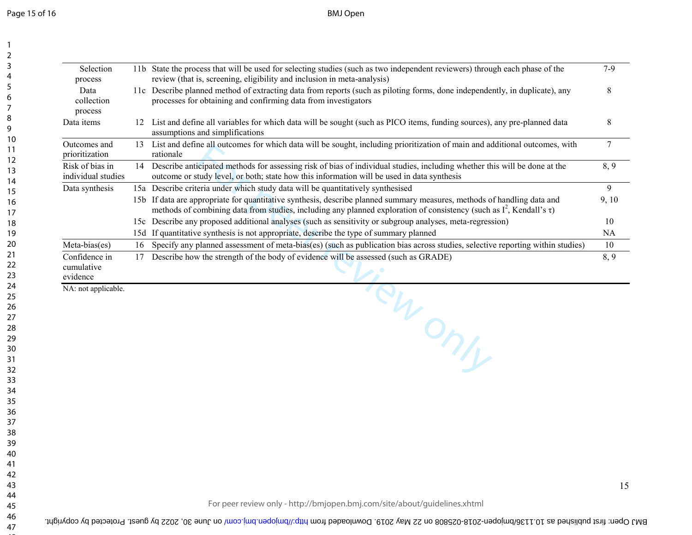Page 15 of 16

BMJ Open

|    | review (that is, screening, eligibility and inclusion in meta-analysis)                                                                                                                                                 | $7-9$                                                                                                                                                                                                                                                                                                                                                                                                                                                                                                                                                                                                |
|----|-------------------------------------------------------------------------------------------------------------------------------------------------------------------------------------------------------------------------|------------------------------------------------------------------------------------------------------------------------------------------------------------------------------------------------------------------------------------------------------------------------------------------------------------------------------------------------------------------------------------------------------------------------------------------------------------------------------------------------------------------------------------------------------------------------------------------------------|
|    | processes for obtaining and confirming data from investigators                                                                                                                                                          | 8                                                                                                                                                                                                                                                                                                                                                                                                                                                                                                                                                                                                    |
| 12 | List and define all variables for which data will be sought (such as PICO items, funding sources), any pre-planned data<br>assumptions and simplifications                                                              | 8                                                                                                                                                                                                                                                                                                                                                                                                                                                                                                                                                                                                    |
| 13 | List and define all outcomes for which data will be sought, including prioritization of main and additional outcomes, with<br>rationale                                                                                 | $\tau$                                                                                                                                                                                                                                                                                                                                                                                                                                                                                                                                                                                               |
| 14 | Describe anticipated methods for assessing risk of bias of individual studies, including whether this will be done at the<br>outcome or study level, or both; state how this information will be used in data synthesis | 8, 9                                                                                                                                                                                                                                                                                                                                                                                                                                                                                                                                                                                                 |
|    |                                                                                                                                                                                                                         | 9                                                                                                                                                                                                                                                                                                                                                                                                                                                                                                                                                                                                    |
|    | methods of combining data from studies, including any planned exploration of consistency (such as $I^2$ , Kendall's $\tau$ )                                                                                            | 9,10                                                                                                                                                                                                                                                                                                                                                                                                                                                                                                                                                                                                 |
|    |                                                                                                                                                                                                                         | 10                                                                                                                                                                                                                                                                                                                                                                                                                                                                                                                                                                                                   |
|    | If quantitative synthesis is not appropriate, describe the type of summary planned                                                                                                                                      | NA                                                                                                                                                                                                                                                                                                                                                                                                                                                                                                                                                                                                   |
| 16 | Specify any planned assessment of meta-bias(es) (such as publication bias across studies, selective reporting within studies)                                                                                           | 10                                                                                                                                                                                                                                                                                                                                                                                                                                                                                                                                                                                                   |
| 17 | Describe how the strength of the body of evidence will be assessed (such as GRADE)                                                                                                                                      | 8, 9                                                                                                                                                                                                                                                                                                                                                                                                                                                                                                                                                                                                 |
|    |                                                                                                                                                                                                                         |                                                                                                                                                                                                                                                                                                                                                                                                                                                                                                                                                                                                      |
|    |                                                                                                                                                                                                                         | 11b State the process that will be used for selecting studies (such as two independent reviewers) through each phase of the<br>11c Describe planned method of extracting data from reports (such as piloting forms, done independently, in duplicate), any<br>15a Describe criteria under which study data will be quantitatively synthesised<br>15b If data are appropriate for quantitative synthesis, describe planned summary measures, methods of handling data and<br>15c Describe any proposed additional analyses (such as sensitivity or subgroup analyses, meta-regression)<br>15d<br>VONT |

BMJ Open: first published as 10.11360md/361-025808 on 22 May S019. Downloaded from http://dmjopen.bm/ on June 30, 2022 by guest. Protected by copyright.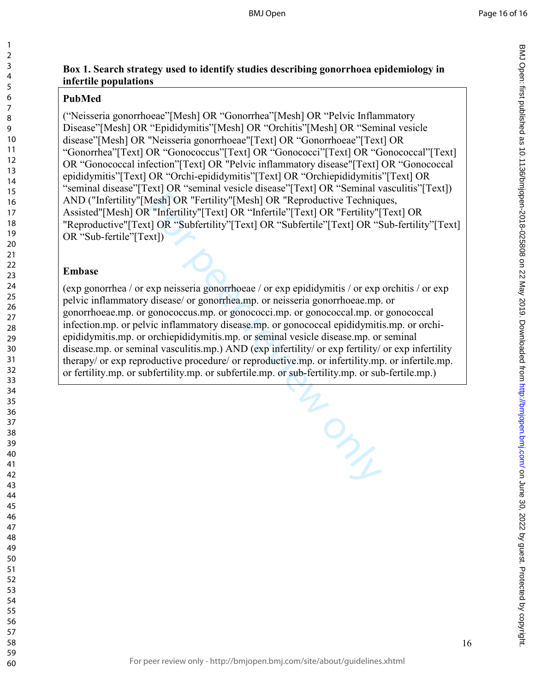## **Box 1. Search strategy used to identify studies describing gonorrhoea epidemiology in infertile populations**

## **PubMed**

 $\mathbf{1}$ 

("Neisseria gonorrhoeae"[Mesh] OR "Gonorrhea"[Mesh] OR "Pelvic Inflammatory Disease"[Mesh] OR "Epididymitis"[Mesh] OR "Orchitis"[Mesh] OR "Seminal vesicle disease"[Mesh] OR "Neisseria gonorrhoeae"[Text] OR "Gonorrhoeae"[Text] OR "Gonorrhea"[Text] OR "Gonococcus"[Text] OR "Gonococci"[Text] OR "Gonococcal"[Text] OR "Gonococcal infection"[Text] OR "Pelvic inflammatory disease"[Text] OR "Gonococcal epididymitis"[Text] OR "Orchi-epididymitis"[Text] OR "Orchiepididymitis"[Text] OR "seminal disease"[Text] OR "seminal vesicle disease"[Text] OR "Seminal vasculitis"[Text]) AND ("Infertility"[Mesh] OR "Fertility"[Mesh] OR "Reproductive Techniques, Assisted"[Mesh] OR "Infertility"[Text] OR "Infertile"[Text] OR "Fertility"[Text] OR "Reproductive"[Text] OR "Subfertility"[Text] OR "Subfertile"[Text] OR "Sub-fertility"[Text] OR "Sub-fertile"[Text])

## **Embase**

Mesh JOR "Fertility"[Mesh] OR "Reproductive Technique Wesh JOR "Fertility"[Text] OR "Reproductive Technique Wesh Life"<br>
Tinfertility"[Text] OR "Infertile"[Text] OR "Fertility"[1] OR "Subfertility"[Text] OR "Subfertility"[T (exp gonorrhea / or exp neisseria gonorrhoeae / or exp epididymitis / or exp orchitis / or exp pelvic inflammatory disease/ or gonorrhea.mp. or neisseria gonorrhoeae.mp. or gonorrhoeae.mp. or gonococcus.mp. or gonococci.mp. or gonococcal.mp. or gonococcal infection.mp. or pelvic inflammatory disease.mp. or gonococcal epididymitis.mp. or orchiepididymitis.mp. or orchiepididymitis.mp. or seminal vesicle disease.mp. or seminal disease.mp. or seminal vasculitis.mp.) AND (exp infertility/ or exp fertility/ or exp infertility therapy/ or exp reproductive procedure/ or reproductive.mp. or infertility.mp. or infertile.mp. or fertility.mp. or subfertility.mp. or subfertile.mp. or sub-fertility.mp. or sub-fertile.mp.)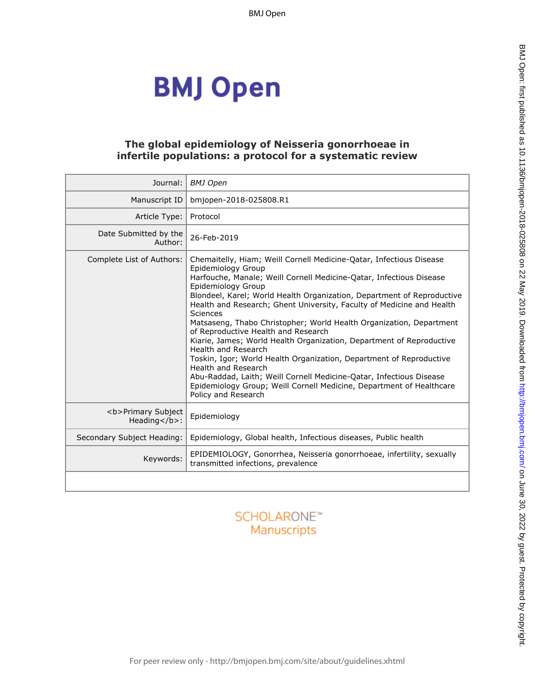# **BMJ Open**

#### **The global epidemiology of Neisseria gonorrhoeae in infertile populations: a protocol for a systematic review**

| Journal:                                                   | <b>BMJ</b> Open                                                                                                                                                                                                                                                                                                                                                                                                                                                                                                                                                                                                                                                                                                                                                                                                                        |
|------------------------------------------------------------|----------------------------------------------------------------------------------------------------------------------------------------------------------------------------------------------------------------------------------------------------------------------------------------------------------------------------------------------------------------------------------------------------------------------------------------------------------------------------------------------------------------------------------------------------------------------------------------------------------------------------------------------------------------------------------------------------------------------------------------------------------------------------------------------------------------------------------------|
| Manuscript ID                                              | bmjopen-2018-025808.R1                                                                                                                                                                                                                                                                                                                                                                                                                                                                                                                                                                                                                                                                                                                                                                                                                 |
| Article Type:                                              | Protocol                                                                                                                                                                                                                                                                                                                                                                                                                                                                                                                                                                                                                                                                                                                                                                                                                               |
| Date Submitted by the<br>Author:                           | 26-Feb-2019                                                                                                                                                                                                                                                                                                                                                                                                                                                                                                                                                                                                                                                                                                                                                                                                                            |
| Complete List of Authors:                                  | Chemaitelly, Hiam; Weill Cornell Medicine-Qatar, Infectious Disease<br>Epidemiology Group<br>Harfouche, Manale; Weill Cornell Medicine-Qatar, Infectious Disease<br>Epidemiology Group<br>Blondeel, Karel; World Health Organization, Department of Reproductive<br>Health and Research; Ghent University, Faculty of Medicine and Health<br>Sciences<br>Matsaseng, Thabo Christopher; World Health Organization, Department<br>of Reproductive Health and Research<br>Kiarie, James; World Health Organization, Department of Reproductive<br>Health and Research<br>Toskin, Igor; World Health Organization, Department of Reproductive<br>Health and Research<br>Abu-Raddad, Laith; Weill Cornell Medicine-Qatar, Infectious Disease<br>Epidemiology Group; Weill Cornell Medicine, Department of Healthcare<br>Policy and Research |
| <b>Primary Subject<br/>Heading<math>&lt;</math>/b&gt;:</b> | Epidemiology                                                                                                                                                                                                                                                                                                                                                                                                                                                                                                                                                                                                                                                                                                                                                                                                                           |
| Secondary Subject Heading:                                 | Epidemiology, Global health, Infectious diseases, Public health                                                                                                                                                                                                                                                                                                                                                                                                                                                                                                                                                                                                                                                                                                                                                                        |
| Keywords:                                                  | EPIDEMIOLOGY, Gonorrhea, Neisseria gonorrhoeae, infertility, sexually<br>transmitted infections, prevalence                                                                                                                                                                                                                                                                                                                                                                                                                                                                                                                                                                                                                                                                                                                            |
|                                                            |                                                                                                                                                                                                                                                                                                                                                                                                                                                                                                                                                                                                                                                                                                                                                                                                                                        |

## **SCHOLARONE™** Manuscripts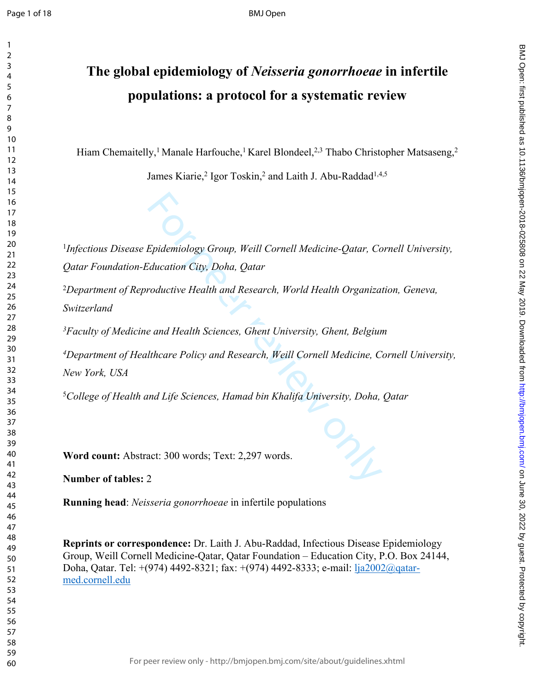## **The global epidemiology of** *Neisseria gonorrhoeae* **in infertile populations: a protocol for a systematic review**

Hiam Chemaitelly,<sup>1</sup> Manale Harfouche,<sup>1</sup> Karel Blondeel,<sup>2,3</sup> Thabo Christopher Matsaseng,<sup>2</sup>

James Kiarie,<sup>2</sup> Igor Toskin,<sup>2</sup> and Laith J. Abu-Raddad<sup>1,4,5</sup>

<sup>1</sup>Infectious Disease Epidemiology Group, Weill Cornell Medicine-Qatar, Cornell University, *Qatar Foundation-Education City, Doha, Qatar*

*Department of Reproductive Health and Research, World Health Organization, Geneva, Switzerland*

*Faculty of Medicine and Health Sciences, Ghent University, Ghent, Belgium*

Epidemiology Group, Weill Cornell Medicine-Qatar, Condition City, Doha, Qatar<br>Froductive Health and Research, World Health Organiza.<br>Froductive Health and Research, World Health Organiza.<br>Incare Policy and Research, Weill *Department of Healthcare Policy and Research, Weill Cornell Medicine, Cornell University, New York, USA*

*College of Health and Life Sciences, Hamad bin Khalifa University, Doha, Qatar*

**Word count:** Abstract: 300 words; Text: 2,297 words.

**Number of tables:**  2

**Running head**: *Neisseria gonorrhoeae* in infertile populations

**Reprints or correspondence:** Dr. Laith J. Abu-Raddad, Infectious Disease Epidemiology Group, Weill Cornell Medicine-Qatar, Qatar Foundation – Education City, P.O. Box 24144, Doha, Qatar. Tel: +(974) 4492-8321; fax: +(974) 4492-8333; e-mail: [lja2002@qatar](mailto:lja2002@qatar-med.cornell.edu)[med.cornell.edu](mailto:lja2002@qatar-med.cornell.edu)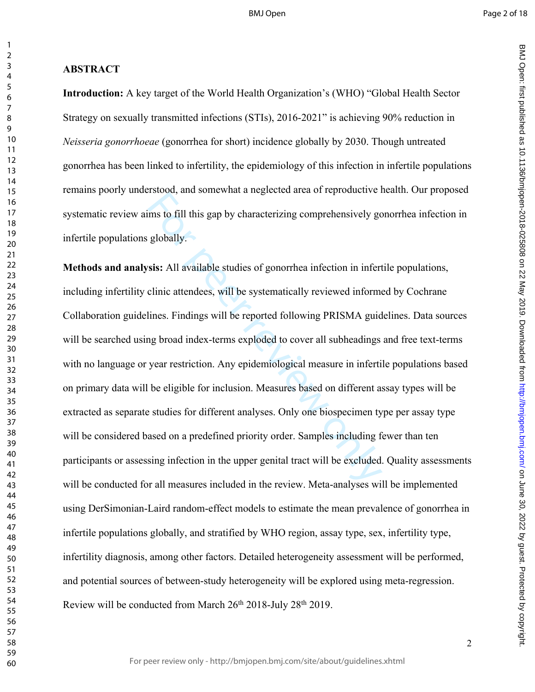BMJ Open: first particled as 10.1136/biright. Protected by 2019. Downloaded from Dewall and Amaged from the changed from the 10.020 S25808 on 22 May 10.1136/biright. Protected by concept in the changed from the changed fro

BMJ Open: first published as 10.1136/bmjopen-2018-025808 on 22 May 2019. Downloaded from http://bmjopen.bmj.com/ on June 30, 2022 by guest. Protected by copyright

 $\mathbf{1}$ 

 $\overline{2}$ 

#### **ABSTRACT**

**Introduction:** A key target of the World Health Organization's (WHO) "Global Health Sector Strategy on sexually transmitted infections (STIs), 2016-2021" is achieving 90% reduction in *Neisseria gonorrhoeae* (gonorrhea for short) incidence globally by 2030. Though untreated gonorrhea has been linked to infertility, the epidemiology of this infection in infertile populations remains poorly understood, and somewhat a neglected area of reproductive health. Our proposed systematic review aims to fill this gap by characterizing comprehensively gonorrhea infection in infertile populations globally.

For the fill this gap by characterizing comprehensively got globally.<br>
For this gap by characterizing comprehensively got globally.<br>
For this gap by characterizing comprehensively got globally.<br>
For this attendees, will be **Methods and analysis:** All available studies of gonorrhea infection in infertile populations, including infertility clinic attendees, will be systematically reviewed informed by Cochrane Collaboration guidelines. Findings will be reported following PRISMA guidelines. Data sources will be searched using broad index-terms exploded to cover all subheadings and free text-terms with no language or year restriction. Any epidemiological measure in infertile populations based on primary data will be eligible for inclusion. Measures based on different assay types will be extracted as separate studies for different analyses. Only one biospecimen type per assay type will be considered based on a predefined priority order. Samples including fewer than ten participants or assessing infection in the upper genital tract will be excluded. Quality assessments will be conducted for all measures included in the review. Meta-analyses will be implemented using DerSimonian-Laird random-effect models to estimate the mean prevalence of gonorrhea in infertile populations globally, and stratified by WHO region, assay type, sex, infertility type, infertility diagnosis, among other factors. Detailed heterogeneity assessment will be performed, and potential sources of between-study heterogeneity will be explored using meta-regression. Review will be conducted from March 26<sup>th</sup> 2018-July 28<sup>th</sup> 2019.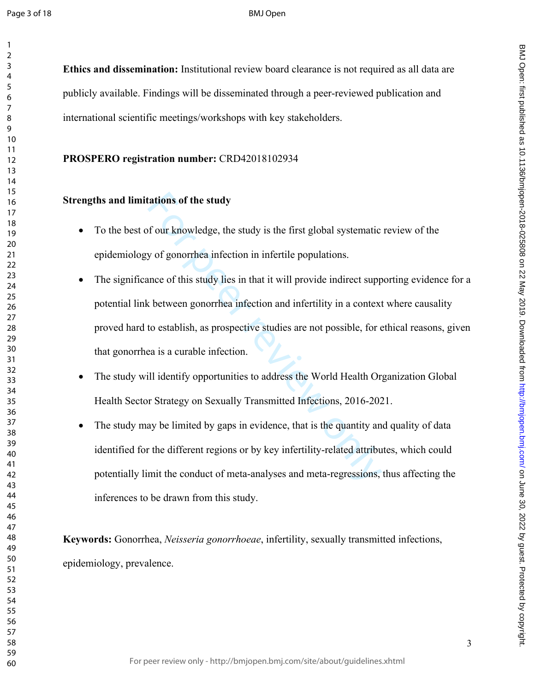$\mathbf{1}$ 

#### BMJ Open

**Ethics and dissemination:** Institutional review board clearance is not required as all data are publicly available. Findings will be disseminated through a peer-reviewed publication and international scientific meetings/workshops with key stakeholders.

#### **PROSPERO registration number:** CRD42018102934

#### **Strengths and limitations of the study**

- To the best of our knowledge, the study is the first global systematic review of the epidemiology of gonorrhea infection in infertile populations.
- tations of the study<br>of our knowledge, the study is the first global systematic<br>y of gonorrhea infection in infertile populations.<br>nnce of this study lies in that it will provide indirect supp<br>c between gonorrhea infection The significance of this study lies in that it will provide indirect supporting evidence for a potential link between gonorrhea infection and infertility in a context where causality proved hard to establish, as prospective studies are not possible, for ethical reasons, given that gonorrhea is a curable infection.
- The study will identify opportunities to address the World Health Organization Global Health Sector Strategy on Sexually Transmitted Infections, 2016-2021.
- The study may be limited by gaps in evidence, that is the quantity and quality of data identified for the different regions or by key infertility-related attributes, which could potentially limit the conduct of meta-analyses and meta-regressions, thus affecting the inferences to be drawn from this study.

**Keywords:** Gonorrhea, *Neisseria gonorrhoeae*, infertility, sexually transmitted infections, epidemiology, prevalence.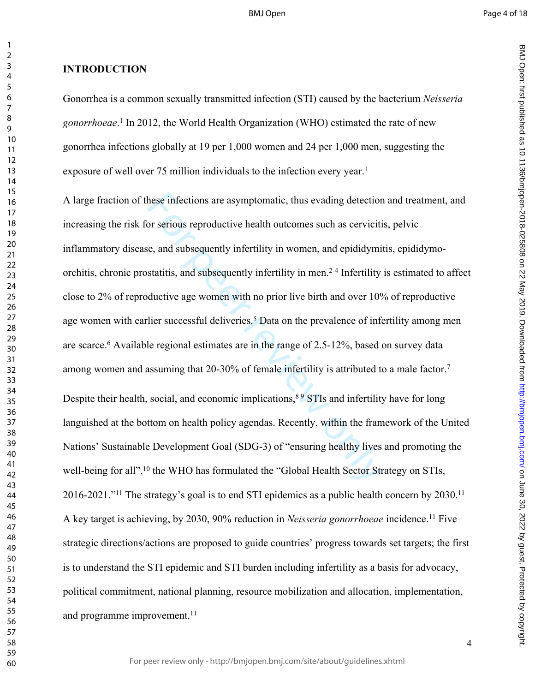BMJ Open: first particled as 10.1136/biright. Protected by 2019. Downloaded from Dewall and Amaged from the changed from the 10.020 S25808 on 22 May 10.1136/biright. Protected by concept in the changed from the changed fro

BMJ Open: first published as 10.1136/bmjopen-2018-025808 on 22 May 2019. Downloaded from http://bmjopen.bmj.com/ on June 30, 2022 by guest. Protected by copyright

#### **INTRODUCTION**

Gonorrhea is a common sexually transmitted infection (STI) caused by the bacterium *Neisseria gonorrhoeae* . 1 In 2012, the World Health Organization (WHO) estimated the rate of new gonorrhea infections globally at 19 per 1,000 women and 24 per 1,000 men, suggesting the exposure of well over 75 million individuals to the infection every year.<sup>1</sup>

hese infections are asymptomatic, thus evading detection<br>or serious reproductive health outcomes such as cerviciti<br>e, and subsequently infertility in women, and epididymi<br>statitis, and subsequently infertility in men.<sup>2-4</sup> A large fraction of these infections are asymptomatic, thus evading detection and treatment, and increasing the risk for serious reproductive health outcomes such as cervicitis, pelvic inflammatory disease, and subsequently infertility in women, and epididymitis, epididymoorchitis, chronic prostatitis, and subsequently infertility in men.2-4 Infertility is estimated to affect close to 2% of reproductive age women with no prior live birth and over 10% of reproductive age women with earlier successful deliveries.<sup>5</sup> Data on the prevalence of infertility among men are scarce. 6 Available regional estimates are in the range of 2.5-12%, based on survey data among women and assuming that 20-30% of female infertility is attributed to a male factor.<sup>7</sup> Despite their health, social, and economic implications, STIs and infertility have for long languished at the bottom on health policy agendas. Recently, within the framework of the United Nations' Sustainable Development Goal (SDG-3) of "ensuring healthy lives and promoting the well-being for all",<sup>10</sup> the WHO has formulated the "Global Health Sector Strategy on STIs, 2016-2021."<sup>11</sup> The strategy's goal is to end STI epidemics as a public health concern by 2030.<sup>11</sup> A key target is achieving, by 2030, 90% reduction in *Neisseria gonorrhoeae* incidence.<sup>11</sup> Five strategic directions/actions are proposed to guide countries' progress towards set targets; the first is to understand the STI epidemic and STI burden including infertility as a basis for advocacy, political commitment, national planning, resource mobilization and allocation, implementation, and programme improvement.<sup>11</sup>

 $\mathbf{1}$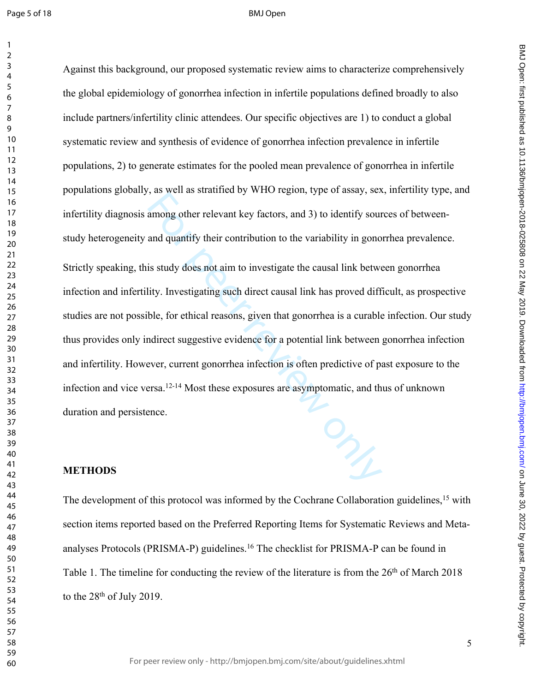Page 5 of 18

#### BMJ Open

For all the statement key factors, and 3) to identify sour and quantify their contribution to the variability in gono as study does not aim to investigate the causal link between is study does not aim to investigate the c Against this background, our proposed systematic review aims to characterize comprehensively the global epidemiology of gonorrhea infection in infertile populations defined broadly to also include partners/infertility clinic attendees. Our specific objectives are 1) to conduct a global systematic review and synthesis of evidence of gonorrhea infection prevalence in infertile populations, 2) to generate estimates for the pooled mean prevalence of gonorrhea in infertile populations globally, as well as stratified by WHO region, type of assay, sex, infertility type, and infertility diagnosis among other relevant key factors, and 3) to identify sources of betweenstudy heterogeneity and quantify their contribution to the variability in gonorrhea prevalence. Strictly speaking, this study does not aim to investigate the causal link between gonorrhea infection and infertility. Investigating such direct causal link has proved difficult, as prospective studies are not possible, for ethical reasons, given that gonorrhea is a curable infection. Our study thus provides only indirect suggestive evidence for a potential link between gonorrhea infection and infertility. However, current gonorrhea infection is often predictive of past exposure to the infection and vice versa.12-14 Most these exposures are asymptomatic, and thus of unknown duration and persistence.

#### **METHODS**

The development of this protocol was informed by the Cochrane Collaboration guidelines,<sup>15</sup> with section items reported based on the Preferred Reporting Items for Systematic Reviews and Metaanalyses Protocols (PRISMA-P) guidelines.<sup>16</sup> The checklist for PRISMA-P can be found in Table 1. The timeline for conducting the review of the literature is from the 26<sup>th</sup> of March 2018 to the 28th of July 2019.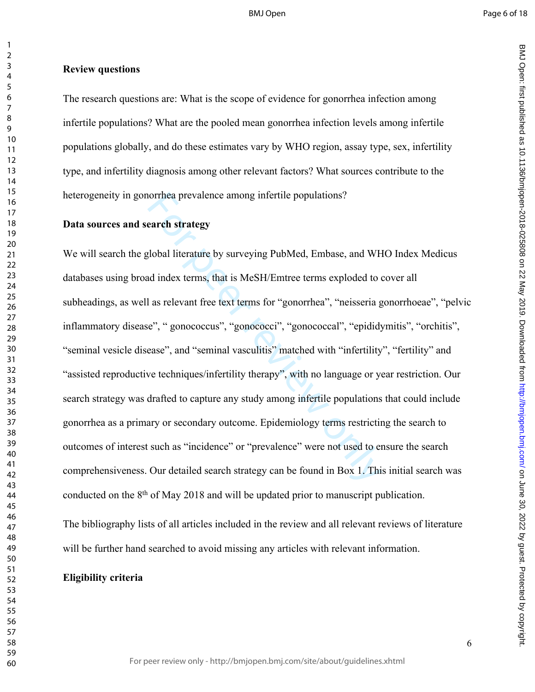BMJ Open: first particled as 10.1136/biright. Protected by 2019. Downloaded from Dewall and Amaged from the changed from the 10.020 S25808 on 22 May 10.1136/biright. Protected by concept in the changed from the changed fro

BMJ Open: first published as 10.1136/bmjopen-2018-025808 on 22 May 2019. Downloaded from http://bmjopen.bmj.com/ on June 30, 2022 by guest. Protected by copyright

#### **Review questions**

The research questions are: What is the scope of evidence for gonorrhea infection among infertile populations? What are the pooled mean gonorrhea infection levels among infertile populations globally, and do these estimates vary by WHO region, assay type, sex, infertility type, and infertility diagnosis among other relevant factors? What sources contribute to the heterogeneity in gonorrhea prevalence among infertile populations?

#### **Data sources and search strategy**

norrhea prevalence among infertile populations?<br>
garch strategy<br>
global literature by surveying PubMed, Embase, and WH<br>
and index terms, that is MeSH/Emtree terms exploded to to<br>
las relevant free text terms for "gonorrhea We will search the global literature by surveying PubMed, Embase, and WHO Index Medicus databases using broad index terms, that is MeSH/Emtree terms exploded to cover all subheadings, as well as relevant free text terms for "gonorrhea", "neisseria gonorrhoeae", "pelvic inflammatory disease", " gonococcus", "gonococci", "gonococcal", "epididymitis", "orchitis", "seminal vesicle disease", and "seminal vasculitis" matched with "infertility", "fertility" and "assisted reproductive techniques/infertility therapy", with no language or year restriction. Our search strategy was drafted to capture any study among infertile populations that could include gonorrhea as a primary or secondary outcome. Epidemiology terms restricting the search to outcomes of interest such as "incidence" or "prevalence" were not used to ensure the search comprehensiveness. Our detailed search strategy can be found in Box 1. This initial search was conducted on the 8th of May 2018 and will be updated prior to manuscript publication.

The bibliography lists of all articles included in the review and all relevant reviews of literature will be further hand searched to avoid missing any articles with relevant information.

#### **Eligibility criteria**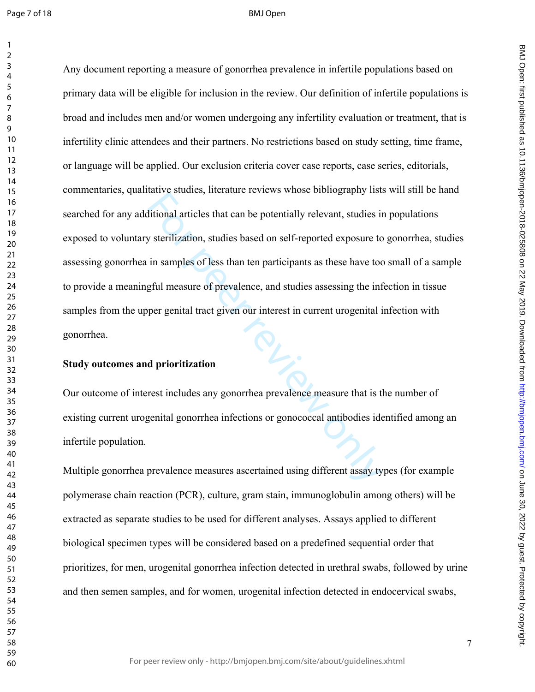rative staates, included tevrews whose olongsuphry interactional articles that can be potentially relevant, studies is<br>y sterilization, studies based on self-reported exposure to<br>in samples of less than ten participants as Any document reporting a measure of gonorrhea prevalence in infertile populations based on primary data will be eligible for inclusion in the review. Our definition of infertile populations is broad and includes men and/or women undergoing any infertility evaluation or treatment, that is infertility clinic attendees and their partners. No restrictions based on study setting, time frame, or language will be applied. Our exclusion criteria cover case reports, case series, editorials, commentaries, qualitative studies, literature reviews whose bibliography lists will still be hand searched for any additional articles that can be potentially relevant, studies in populations exposed to voluntary sterilization, studies based on self-reported exposure to gonorrhea, studies assessing gonorrhea in samples of less than ten participants as these have too small of a sample to provide a meaningful measure of prevalence, and studies assessing the infection in tissue samples from the upper genital tract given our interest in current urogenital infection with gonorrhea.

#### **Study outcomes and prioritization**

Our outcome of interest includes any gonorrhea prevalence measure that is the number of existing current urogenital gonorrhea infections or gonococcal antibodies identified among an infertile population.

Multiple gonorrhea prevalence measures ascertained using different assay types (for example polymerase chain reaction (PCR), culture, gram stain, immunoglobulin among others) will be extracted as separate studies to be used for different analyses. Assays applied to different biological specimen types will be considered based on a predefined sequential order that prioritizes, for men, urogenital gonorrhea infection detected in urethral swabs, followed by urine and then semen samples, and for women, urogenital infection detected in endocervical swabs,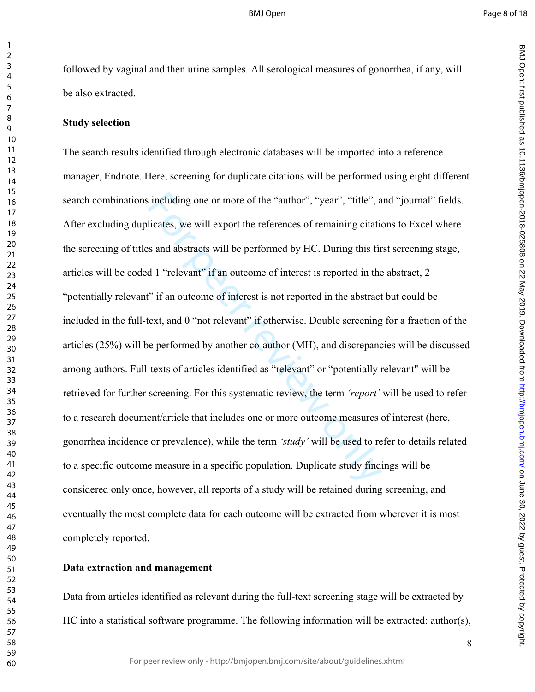followed by vaginal and then urine samples. All serological measures of gonorrhea, if any, will be also extracted.

#### **Study selection**

 $\mathbf{1}$ 

is including one or more of the "author", "year", "title", a<br>licates, we will export the references of remaining citaties<br>s and abstracts will be performed by HC. During this fir<br>d 1 "relevant" if an outcome of interest i The search results identified through electronic databases will be imported into a reference manager, Endnote. Here, screening for duplicate citations will be performed using eight different search combinations including one or more of the "author", "year", "title", and "journal" fields. After excluding duplicates, we will export the references of remaining citations to Excel where the screening of titles and abstracts will be performed by HC. During this first screening stage, articles will be coded 1 "relevant" if an outcome of interest is reported in the abstract, 2 "potentially relevant" if an outcome of interest is not reported in the abstract but could be included in the full-text, and 0 "not relevant" if otherwise. Double screening for a fraction of the articles (25%) will be performed by another co-author (MH), and discrepancies will be discussed among authors. Full-texts of articles identified as "relevant" or "potentially relevant" will be retrieved for further screening. For this systematic review, the term *'report'* will be used to refer to a research document/article that includes one or more outcome measures of interest (here, gonorrhea incidence or prevalence), while the term *'study'* will be used to refer to details related to a specific outcome measure in a specific population. Duplicate study findings will be considered only once, however, all reports of a study will be retained during screening, and eventually the most complete data for each outcome will be extracted from wherever it is most completely reported.

#### **Data extraction and management**

Data from articles identified as relevant during the full-text screening stage will be extracted by HC into a statistical software programme. The following information will be extracted: author(s),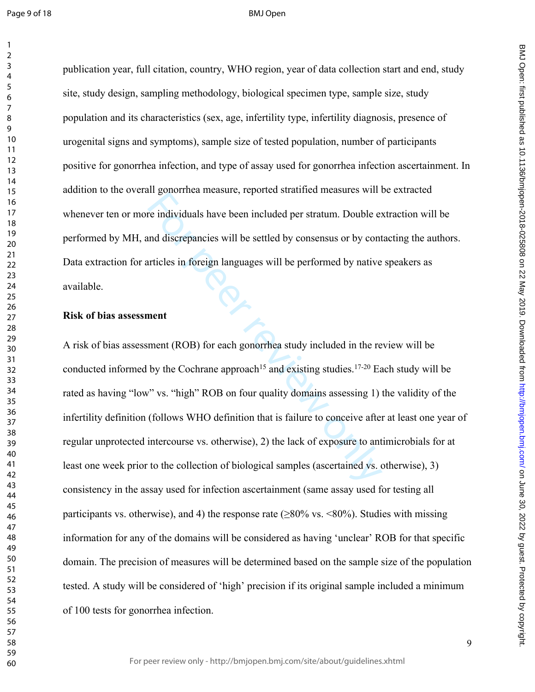publication year, full citation, country, WHO region, year of data collection start and end, study site, study design, sampling methodology, biological specimen type, sample size, study population and its characteristics (sex, age, infertility type, infertility diagnosis, presence of urogenital signs and symptoms), sample size of tested population, number of participants positive for gonorrhea infection, and type of assay used for gonorrhea infection ascertainment. In addition to the overall gonorrhea measure, reported stratified measures will be extracted whenever ten or more individuals have been included per stratum. Double extraction will be performed by MH, and discrepancies will be settled by consensus or by contacting the authors. Data extraction for articles in foreign languages will be performed by native speakers as available.

#### **Risk of bias assessment**

For individuals have been included per stratum. Double end discrepancies will be settled by consensus or by contricles in foreign languages will be performed by native unticles in foreign languages will be performed by na A risk of bias assessment (ROB) for each gonorrhea study included in the review will be conducted informed by the Cochrane approach<sup>15</sup> and existing studies.<sup>17-20</sup> Each study will be rated as having "low" vs. "high" ROB on four quality domains assessing 1) the validity of the infertility definition (follows WHO definition that is failure to conceive after at least one year of regular unprotected intercourse vs. otherwise), 2) the lack of exposure to antimicrobials for at least one week prior to the collection of biological samples (ascertained vs. otherwise), 3) consistency in the assay used for infection ascertainment (same assay used for testing all participants vs. otherwise), and 4) the response rate ( $\geq 80\%$  vs. <80%). Studies with missing information for any of the domains will be considered as having 'unclear' ROB for that specific domain. The precision of measures will be determined based on the sample size of the population tested. A study will be considered of 'high' precision if its original sample included a minimum of 100 tests for gonorrhea infection.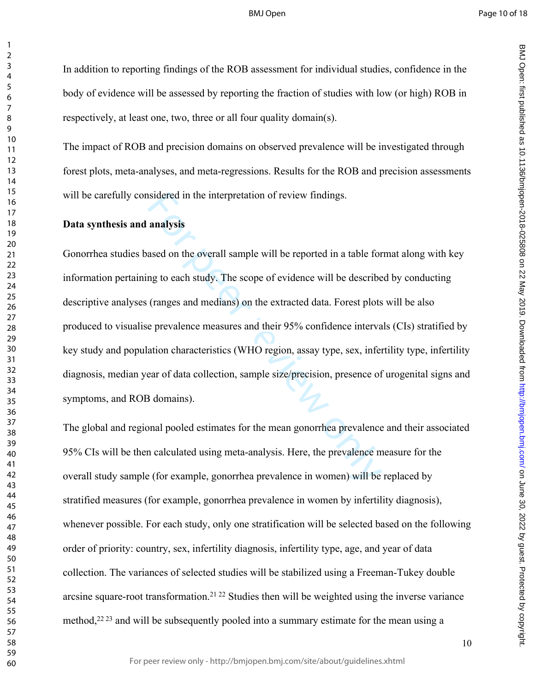BMJ Open: first particled as 10.1136/biright. Protected by 2019. Downloaded from Dewall and Amaged from the changed from the 10.020 S25808 on 22 May 10.1136/biright. Protected by concept in the changed from the changed fro

BMJ Open: first published as 10.1136/bmjopen-2018-025808 on 22 May 2019. Downloaded from http://bmjopen.bmj.com/ on June 30, 2022 by guest. Protected by copyright

#### BMJ Open

 $\mathbf{1}$ 

 $\overline{2}$ 

In addition to reporting findings of the ROB assessment for individual studies, confidence in the body of evidence will be assessed by reporting the fraction of studies with low (or high) ROB in respectively, at least one, two, three or all four quality domain(s).

The impact of ROB and precision domains on observed prevalence will be investigated through forest plots, meta-analyses, and meta-regressions. Results for the ROB and precision assessments will be carefully considered in the interpretation of review findings.

#### **Data synthesis and analysis**

isidered in the interpretation of review findings.<br> **analysis**<br>
ased on the overall sample will be reported in a table for<br>
ng to each study. The scope of evidence will be describe<br>
(ranges and medians) on the extracted da Gonorrhea studies based on the overall sample will be reported in a table format along with key information pertaining to each study. The scope of evidence will be described by conducting descriptive analyses (ranges and medians) on the extracted data. Forest plots will be also produced to visualise prevalence measures and their 95% confidence intervals (CIs) stratified by key study and population characteristics (WHO region, assay type, sex, infertility type, infertility diagnosis, median year of data collection, sample size/precision, presence of urogenital signs and symptoms, and ROB domains).

The global and regional pooled estimates for the mean gonorrhea prevalence and their associated 95% CIs will be then calculated using meta-analysis. Here, the prevalence measure for the overall study sample (for example, gonorrhea prevalence in women) will be replaced by stratified measures (for example, gonorrhea prevalence in women by infertility diagnosis), whenever possible. For each study, only one stratification will be selected based on the following order of priority: country, sex, infertility diagnosis, infertility type, age, and year of data collection. The variances of selected studies will be stabilized using a Freeman-Tukey double arcsine square-root transformation.21 22 Studies then will be weighted using the inverse variance method,  $2^{223}$  and will be subsequently pooled into a summary estimate for the mean using a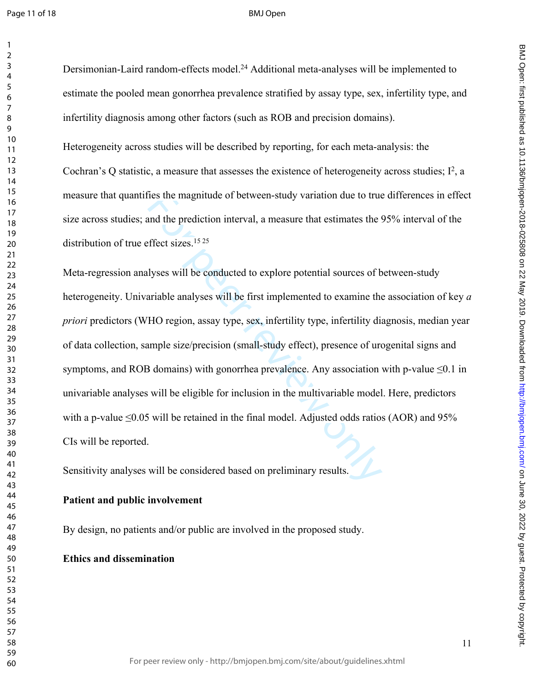Dersimonian-Laird random-effects model.<sup>24</sup> Additional meta-analyses will be implemented to estimate the pooled mean gonorrhea prevalence stratified by assay type, sex, infertility type, and infertility diagnosis among other factors (such as ROB and precision domains).

Heterogeneity across studies will be described by reporting, for each meta-analysis: the Cochran's Q statistic, a measure that assesses the existence of heterogeneity across studies;  $I^2$ , a measure that quantifies the magnitude of between-study variation due to true differences in effect size across studies; and the prediction interval, a measure that estimates the 95% interval of the distribution of true effect sizes.<sup>15 25</sup>

ies the magnitude of between-study variation due to true<br>and the prediction interval, a measure that estimates the !<br>ffect sizes.<sup>1525</sup><br>Ilyses will be conducted to explore potential sources of b<br>ariable analyses will be fi Meta-regression analyses will be conducted to explore potential sources of between-study heterogeneity. Univariable analyses will be first implemented to examine the association of key *a priori* predictors (WHO region, assay type, sex, infertility type, infertility diagnosis, median year of data collection, sample size/precision (small-study effect), presence of urogenital signs and symptoms, and ROB domains) with gonorrhea prevalence. Any association with p-value  $\leq 0.1$  in univariable analyses will be eligible for inclusion in the multivariable model. Here, predictors with a p-value  $\leq 0.05$  will be retained in the final model. Adjusted odds ratios (AOR) and 95% CIs will be reported.

Sensitivity analyses will be considered based on preliminary results.

#### **Patient and public involvement**

By design, no patients and/or public are involved in the proposed study.

#### **Ethics and dissemination**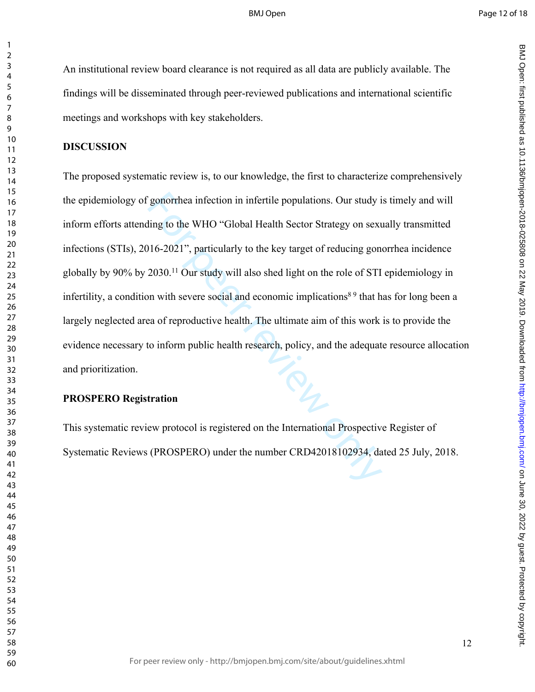An institutional review board clearance is not required as all data are publicly available. The findings will be disseminated through peer-reviewed publications and international scientific meetings and workshops with key stakeholders.

#### **DISCUSSION**

 $\mathbf{1}$ 

Superchea infection in infertile populations. Our study is<br>
iling to the WHO "Global Health Sector Strategy on sext<br>
16-2021", particularly to the key target of reducing gon<br>
2030.<sup>11</sup> Our study will also shed light on the The proposed systematic review is, to our knowledge, the first to characterize comprehensively the epidemiology of gonorrhea infection in infertile populations. Our study is timely and will inform efforts attending to the WHO "Global Health Sector Strategy on sexually transmitted infections (STIs), 2016-2021", particularly to the key target of reducing gonorrhea incidence globally by 90% by 2030.<sup>11</sup> Our study will also shed light on the role of STI epidemiology in infertility, a condition with severe social and economic implications<sup>89</sup> that has for long been a largely neglected area of reproductive health. The ultimate aim of this work is to provide the evidence necessary to inform public health research, policy, and the adequate resource allocation and prioritization.

#### **PROSPERO Registration**

This systematic review protocol is registered on the International Prospective Register of Systematic Reviews (PROSPERO) under the number CRD42018102934, dated 25 July, 2018.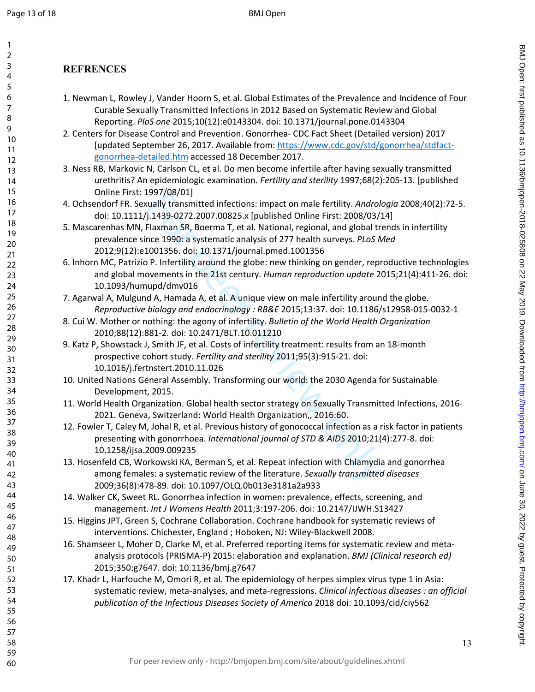1

## **REFRENCES**

- 1. Newman L, Rowley J, Vander Hoorn S, et al. Global Estimates of the Prevalence and Incidence of Four Curable Sexually Transmitted Infections in 2012 Based on Systematic Review and Global Reporting. *PloS one* 2015;10(12):e0143304. doi: 10.1371/journal.pone.0143304
- 2. Centers for Disease Control and Prevention. Gonorrhea- CDC Fact Sheet (Detailed version) 2017 [updated September 26, 2017. Available from: [https://www.cdc.gov/std/gonorrhea/stdfact](https://www.cdc.gov/std/gonorrhea/stdfact-gonorrhea-detailed.htm)[gonorrhea-detailed.htm](https://www.cdc.gov/std/gonorrhea/stdfact-gonorrhea-detailed.htm) accessed 18 December 2017.
- 3. Ness RB, Markovic N, Carlson CL, et al. Do men become infertile after having sexually transmitted urethritis? An epidemiologic examination. *Fertility and sterility* 1997;68(2):205-13. [published Online First: 1997/08/01]
- 4. Ochsendorf FR. Sexually transmitted infections: impact on male fertility. *Andrologia* 2008;40(2):72-5. doi: 10.1111/j.1439-0272.2007.00825.x [published Online First: 2008/03/14]
- 5. Mascarenhas MN, Flaxman SR, Boerma T, et al. National, regional, and global trends in infertility prevalence since 1990: a systematic analysis of 277 health surveys. *PLoS Med* 2012;9(12):e1001356. doi: 10.1371/journal.pmed.1001356
- 6. Inhorn MC, Patrizio P. Infertility around the globe: new thinking on gender, reproductive technologies and global movements in the 21st century. *Human reproduction update* 2015;21(4):411-26. doi: 10.1093/humupd/dmv016
- 7. Agarwal A, Mulgund A, Hamada A, et al. A unique view on male infertility around the globe. *Reproductive biology and endocrinology : RB&E* 2015;13:37. doi: 10.1186/s12958-015-0032-1
- 8. Cui W. Mother or nothing: the agony of infertility. *Bulletin of the World Health Organization* 2010;88(12):881-2. doi: 10.2471/BLT.10.011210
- 9. Katz P, Showstack J, Smith JF, et al. Costs of infertility treatment: results from an 18-month prospective cohort study. *Fertility and sterility* 2011;95(3):915-21. doi: 10.1016/j.fertnstert.2010.11.026
- 10. United Nations General Assembly. Transforming our world: the 2030 Agenda for Sustainable Development, 2015.
- 11. World Health Organization. Global health sector strategy on Sexually Transmitted Infections, 2016- 2021. Geneva, Switzerland: World Health Organization,, 2016:60.
- Sor/100/11<br>
andly transmitted infections: impact on male fertility. Androla<br>
1.439-0272.2007.00825.x [published Online First: 2008/03/5<br>
Flaxman SR, Boerma T, et al. National, regional, and global trace 1990: a systematic 12. Fowler T, Caley M, Johal R, et al. Previous history of gonococcal infection as a risk factor in patients presenting with gonorrhoea. *International journal of STD & AIDS* 2010;21(4):277-8. doi: 10.1258/ijsa.2009.009235
- 13. Hosenfeld CB, Workowski KA, Berman S, et al. Repeat infection with Chlamydia and gonorrhea among females: a systematic review of the literature. *Sexually transmitted diseases* 2009;36(8):478-89. doi: 10.1097/OLQ.0b013e3181a2a933
- 14. Walker CK, Sweet RL. Gonorrhea infection in women: prevalence, effects, screening, and management. *Int J Womens Health* 2011;3:197-206. doi: 10.2147/IJWH.S13427
- 15. Higgins JPT, Green S, Cochrane Collaboration. Cochrane handbook for systematic reviews of interventions. Chichester, England ; Hoboken, NJ: Wiley-Blackwell 2008.
- 16. Shamseer L, Moher D, Clarke M, et al. Preferred reporting items for systematic review and metaanalysis protocols (PRISMA-P) 2015: elaboration and explanation. *BMJ (Clinical research ed)* 2015;350:g7647. doi: 10.1136/bmj.g7647
- 17. Khadr L, Harfouche M, Omori R, et al. The epidemiology of herpes simplex virus type 1 in Asia: systematic review, meta-analyses, and meta-regressions. *Clinical infectious diseases : an official publication of the Infectious Diseases Society of America* 2018 doi: 10.1093/cid/ciy562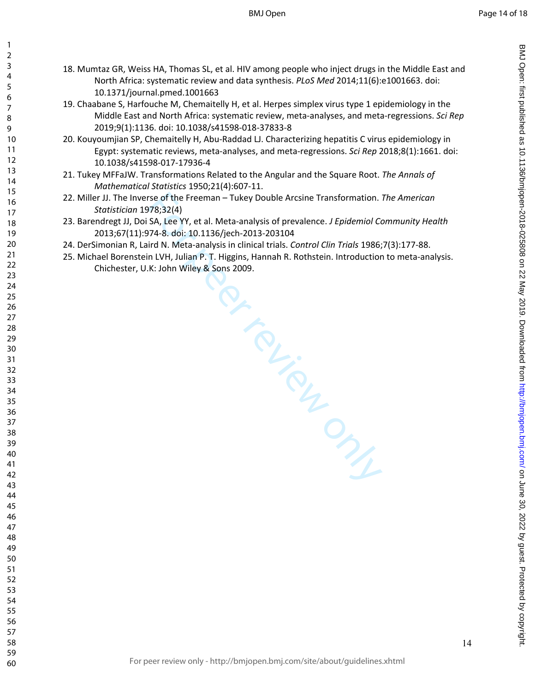18. Mumtaz GR, Weiss HA, Thomas SL, et al. HIV among people who inject drugs in the Middle East and North Africa: systematic review and data synthesis. *PLoS Med* 2014;11(6):e1001663. doi: 10.1371/journal.pmed.1001663

 $\mathbf{1}$ 

- 19. Chaabane S, Harfouche M, Chemaitelly H, et al. Herpes simplex virus type 1 epidemiology in the Middle East and North Africa: systematic review, meta-analyses, and meta-regressions. *Sci Rep* 2019;9(1):1136. doi: 10.1038/s41598-018-37833-8
- 20. Kouyoumjian SP, Chemaitelly H, Abu-Raddad LJ. Characterizing hepatitis C virus epidemiology in Egypt: systematic reviews, meta-analyses, and meta-regressions. *Sci Rep* 2018;8(1):1661. doi: 10.1038/s41598-017-17936-4
- 21. Tukey MFFaJW. Transformations Related to the Angular and the Square Root. *The Annals of Mathematical Statistics* 1950;21(4):607-11.
- 22. Miller JJ. The Inverse of the Freeman Tukey Double Arcsine Transformation. *The American Statistician* 1978;32(4)
- 23. Barendregt JJ, Doi SA, Lee YY, et al. Meta-analysis of prevalence. *J Epidemiol Community Health* 2013;67(11):974-8. doi: 10.1136/jech-2013-203104
- 24. DerSimonian R, Laird N. Meta-analysis in clinical trials. *Control Clin Trials* 1986;7(3):177-88.
- 25. Michael Borenstein LVH, Julian P. T. Higgins, Hannah R. Rothstein. Introduction to meta-analysis. Chichester, U.K: John Wiley & Sons 2009.

From Putical Prints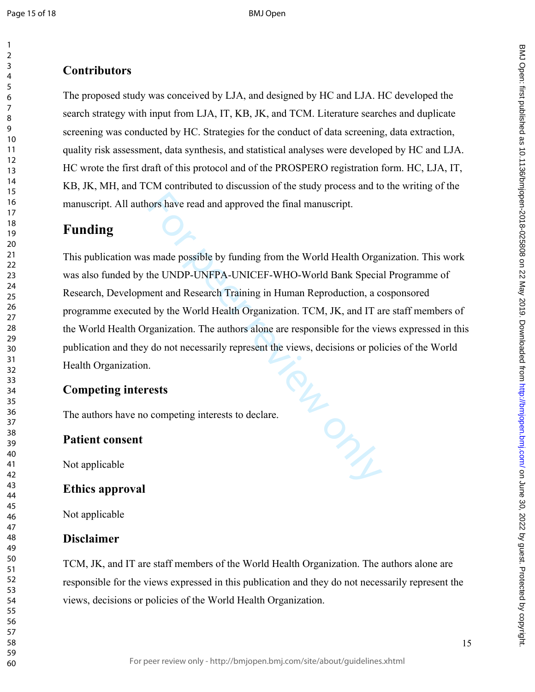$\mathbf{1}$ 

## **Contributors**

The proposed study was conceived by LJA, and designed by HC and LJA. HC developed the search strategy with input from LJA, IT, KB, JK, and TCM. Literature searches and duplicate screening was conducted by HC. Strategies for the conduct of data screening, data extraction, quality risk assessment, data synthesis, and statistical analyses were developed by HC and LJA. HC wrote the first draft of this protocol and of the PROSPERO registration form. HC, LJA, IT, KB, JK, MH, and TCM contributed to discussion of the study process and to the writing of the manuscript. All authors have read and approved the final manuscript.

## **Funding**

For Prince This publication was made possible by funding from the World Health Organization. This work was also funded by the UNDP-UNFPA-UNICEF-WHO-World Bank Special Programme of Research, Development and Research Training in Human Reproduction, a cosponsored programme executed by the World Health Organization. TCM, JK, and IT are staff members of the World Health Organization. The authors alone are responsible for the views expressed in this publication and they do not necessarily represent the views, decisions or policies of the World Health Organization.

### **Competing interests**

The authors have no competing interests to declare.

### **Patient consent**

Not applicable

### **Ethics approval**

Not applicable

### **Disclaimer**

TCM, JK, and IT are staff members of the World Health Organization. The authors alone are responsible for the views expressed in this publication and they do not necessarily represent the views, decisions or policies of the World Health Organization.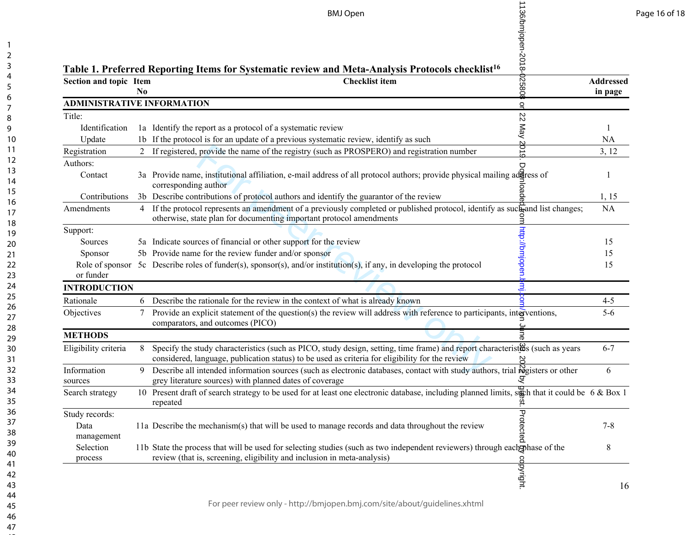|                                      |                | 136/bmjopen-2018-<br><b>BMJ Open</b>                                                                                                                                                                                                                                                                                                                                                                                                                                 |                  |
|--------------------------------------|----------------|----------------------------------------------------------------------------------------------------------------------------------------------------------------------------------------------------------------------------------------------------------------------------------------------------------------------------------------------------------------------------------------------------------------------------------------------------------------------|------------------|
|                                      |                | Table 1. Preferred Reporting Items for Systematic review and Meta-Analysis Protocols checklist <sup>16</sup>                                                                                                                                                                                                                                                                                                                                                         |                  |
| Section and topic Item               | N <sub>0</sub> | 10820<br><b>Checklist item</b>                                                                                                                                                                                                                                                                                                                                                                                                                                       | <b>Addressed</b> |
| <b>ADMINISTRATIVE INFORMATION</b>    |                |                                                                                                                                                                                                                                                                                                                                                                                                                                                                      | in page          |
| Title:                               |                | $\overline{a}$                                                                                                                                                                                                                                                                                                                                                                                                                                                       |                  |
| Identification                       |                | $\mathbb Z$<br>1a Identify the report as a protocol of a systematic review                                                                                                                                                                                                                                                                                                                                                                                           |                  |
| Update                               |                | KeM<br>1b If the protocol is for an update of a previous systematic review, identify as such                                                                                                                                                                                                                                                                                                                                                                         | NA               |
| Registration                         |                | 2019<br>If registered, provide the name of the registry (such as PROSPERO) and registration number                                                                                                                                                                                                                                                                                                                                                                   | 3, 12            |
| Authors:                             |                | $\Box$                                                                                                                                                                                                                                                                                                                                                                                                                                                               |                  |
| Contact                              |                | 3a Provide name, institutional affiliation, e-mail address of all protocol authors; provide physical mailing address of<br>corresponding author                                                                                                                                                                                                                                                                                                                      | 1                |
| Contributions                        |                | 3b Describe contributions of protocol authors and identify the guarantor of the review                                                                                                                                                                                                                                                                                                                                                                               | 1, 15            |
| Amendments                           | $\overline{4}$ | If the protocol represents an amendment of a previously completed or published protocol, identify as such and list changes;<br>otherwise, state plan for documenting important protocol amendments                                                                                                                                                                                                                                                                   | <b>NA</b>        |
| Support:                             |                |                                                                                                                                                                                                                                                                                                                                                                                                                                                                      |                  |
| Sources                              |                | 5a Indicate sources of financial or other support for the review                                                                                                                                                                                                                                                                                                                                                                                                     | 15               |
| Sponsor                              |                | 5b Provide name for the review funder and/or sponsor                                                                                                                                                                                                                                                                                                                                                                                                                 | 15               |
| Role of sponsor<br>or funder         |                | http://bmjopen.<br>5c Describe roles of funder(s), sponsor(s), and/or institution(s), if any, in developing the protocol                                                                                                                                                                                                                                                                                                                                             | 15               |
| <b>INTRODUCTION</b>                  |                | <u>з</u>                                                                                                                                                                                                                                                                                                                                                                                                                                                             |                  |
| Rationale                            | 6              | Describe the rationale for the review in the context of what is already known                                                                                                                                                                                                                                                                                                                                                                                        | $4 - 5$          |
| Objectives                           | 7              | Provide an explicit statement of the question(s) the review will address with reference to participants, interventions,<br>comparators, and outcomes (PICO)                                                                                                                                                                                                                                                                                                          | $5-6$            |
| <b>METHODS</b>                       |                | ыă                                                                                                                                                                                                                                                                                                                                                                                                                                                                   |                  |
| Eligibility criteria                 | 8              | Specify the study characteristics (such as PICO, study design, setting, time frame) and report characteristics (such as years<br>considered, language, publication status) to be used as criteria for eligibility for the review<br>considered, language, publication status) to be used as criteria for eligibility for the review<br>Describe all intended information sources (such as electronic databases, contact with study authors, trial registers or other | $6 - 7$          |
| Information<br>sources               | 9              | grey literature sources) with planned dates of coverage                                                                                                                                                                                                                                                                                                                                                                                                              | 6                |
| Search strategy                      |                | 10 Present draft of search strategy to be used for at least one electronic database, including planned limits, such that it could be 6 & Box 1<br>repeated                                                                                                                                                                                                                                                                                                           |                  |
| Study records:<br>Data<br>management |                | Protected<br>11a Describe the mechanism(s) that will be used to manage records and data throughout the review                                                                                                                                                                                                                                                                                                                                                        | $7 - 8$          |
| Selection<br>process                 |                | 11b State the process that will be used for selecting studies (such as two independent reviewers) through eachgphase of the<br>review (that is, screening, eligibility and inclusion in meta-analysis)                                                                                                                                                                                                                                                               | 8                |
|                                      |                | copyright                                                                                                                                                                                                                                                                                                                                                                                                                                                            |                  |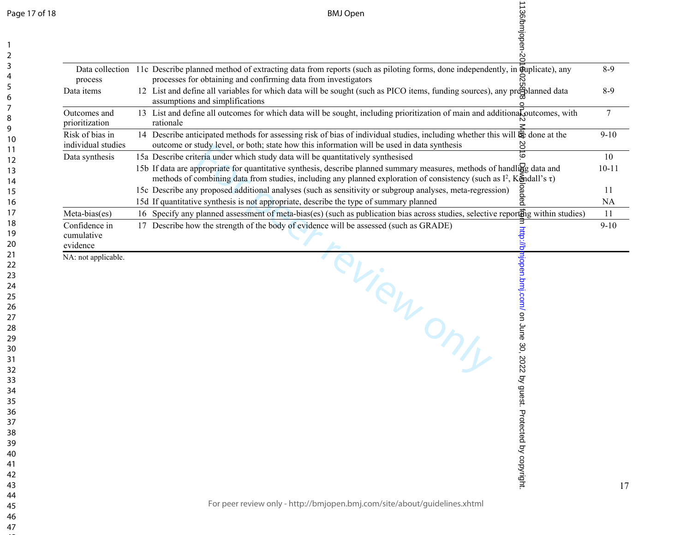| Page 17 of 18 |  |  |  |
|---------------|--|--|--|
|---------------|--|--|--|

|                                         | 1136/bmjopen-20<br><b>BMJ Open</b>                                                                                                                                                                                                                                                                                                                    |                  |
|-----------------------------------------|-------------------------------------------------------------------------------------------------------------------------------------------------------------------------------------------------------------------------------------------------------------------------------------------------------------------------------------------------------|------------------|
|                                         | Data collection 11c Describe planned method of extracting data from reports (such as piloting forms, done independently, in $\vec{\mathbf{q}}$ uplicate), any                                                                                                                                                                                         | $8-9$            |
| process<br>Data items                   | processes for obtaining and confirming data from investigators<br>12 List and define all variables for which data will be sought (such as PICO items, funding sources), any pregulanned data<br>assumptions and simplifications                                                                                                                       | $8-9$            |
| Outcomes and<br>prioritization          | 13 List and define all outcomes for which data will be sought, including prioritization of main and additional soutcomes, with<br>rationale                                                                                                                                                                                                           | $\overline{7}$   |
| Risk of bias in<br>individual studies   | 14 Describe anticipated methods for assessing risk of bias of individual studies, including whether this will $\mathcal{R}$ done at the<br>outcome or study level, or both; state how this information will be used in data synthesis<br>§o‡                                                                                                          | $9 - 10$         |
| Data synthesis                          | 15a Describe criteria under which study data will be quantitatively synthesised<br>$\circ$<br>15b If data are appropriate for quantitative synthesis, describe planned summary measures, methods of handling data and<br>methods of combining data from studies, including any planned exploration of consistency (such as $I^2$ , Kendall's $\tau$ ) | 10<br>$10 - 11$  |
|                                         | 15c Describe any proposed additional analyses (such as sensitivity or subgroup analyses, meta-regression)<br>15d If quantitative synthesis is not appropriate, describe the type of summary planned                                                                                                                                                   | -11<br><b>NA</b> |
| Meta-bias(es)                           | 16 Specify any planned assessment of meta-bias(es) (such as publication bias across studies, selective reporting within studies)                                                                                                                                                                                                                      | 11               |
| Confidence in<br>cumulative<br>evidence | 17 Describe how the strength of the body of evidence will be assessed (such as GRADE)<br>http://bl                                                                                                                                                                                                                                                    | $9 - 10$         |
| NA: not applicable.                     | mjopen.<br>TRUPONY                                                                                                                                                                                                                                                                                                                                    |                  |
|                                         | bmj.com/ on June 30, 2022 by guest. Protected by copyright                                                                                                                                                                                                                                                                                            |                  |
|                                         |                                                                                                                                                                                                                                                                                                                                                       |                  |